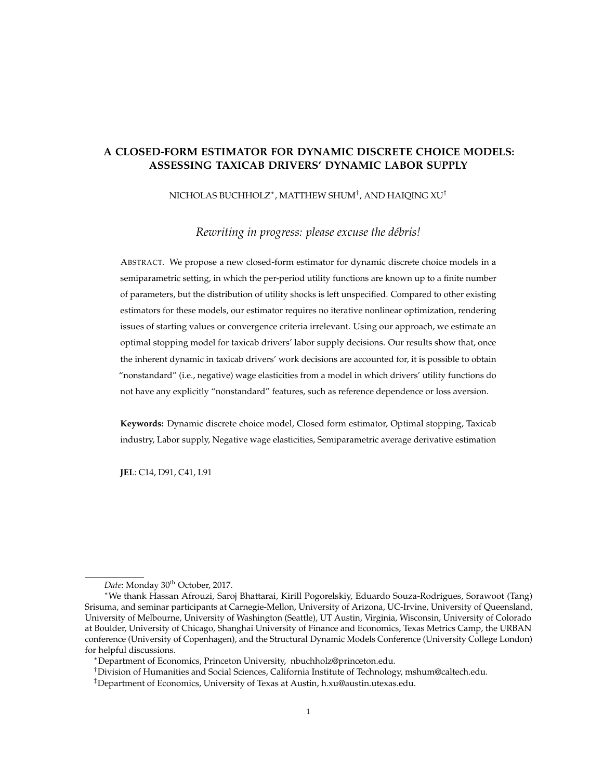# **A CLOSED-FORM ESTIMATOR FOR DYNAMIC DISCRETE CHOICE MODELS: ASSESSING TAXICAB DRIVERS' DYNAMIC LABOR SUPPLY**

[NICHOLAS BUCHHOLZ](MAILTO: NBUCHHOLZ@PRINCETON.EDU)? , [MATTHEW SHUM](MAILTO:MSHUM@CALTECH.EDU)† , AND [HAIQING XU](MAILTO:H.XU@AUSTIN.UTEXAS.EDU)‡

*Rewriting in progress: please excuse the débris!*

ABSTRACT. We propose a new closed-form estimator for dynamic discrete choice models in a semiparametric setting, in which the per-period utility functions are known up to a finite number of parameters, but the distribution of utility shocks is left unspecified. Compared to other existing estimators for these models, our estimator requires no iterative nonlinear optimization, rendering issues of starting values or convergence criteria irrelevant. Using our approach, we estimate an optimal stopping model for taxicab drivers' labor supply decisions. Our results show that, once the inherent dynamic in taxicab drivers' work decisions are accounted for, it is possible to obtain "nonstandard" (i.e., negative) wage elasticities from a model in which drivers' utility functions do not have any explicitly "nonstandard" features, such as reference dependence or loss aversion.

**Keywords:** Dynamic discrete choice model, Closed form estimator, Optimal stopping, Taxicab industry, Labor supply, Negative wage elasticities, Semiparametric average derivative estimation

**JEL**: C14, D91, C41, L91

Date: Monday 30<sup>th</sup> October, 2017.

<sup>∗</sup>We thank Hassan Afrouzi, Saroj Bhattarai, Kirill Pogorelskiy, Eduardo Souza-Rodrigues, Sorawoot (Tang) Srisuma, and seminar participants at Carnegie-Mellon, University of Arizona, UC-Irvine, University of Queensland, University of Melbourne, University of Washington (Seattle), UT Austin, Virginia, Wisconsin, University of Colorado at Boulder, University of Chicago, Shanghai University of Finance and Economics, Texas Metrics Camp, the URBAN conference (University of Copenhagen), and the Structural Dynamic Models Conference (University College London) for helpful discussions.

<sup>?</sup>Department of Economics, Princeton University, [nbuchholz@princeton.edu.](mailto: nbuchholz@princeton.edu)

<sup>†</sup>Division of Humanities and Social Sciences, California Institute of Technology, [mshum@caltech.edu.](mailto:mshum@caltech.edu)

 $^{\ddagger}$ Department of Economics, University of Texas at Austin, [h.xu@austin.utexas.edu.](mailto:h.xu@austin.utexas.edu)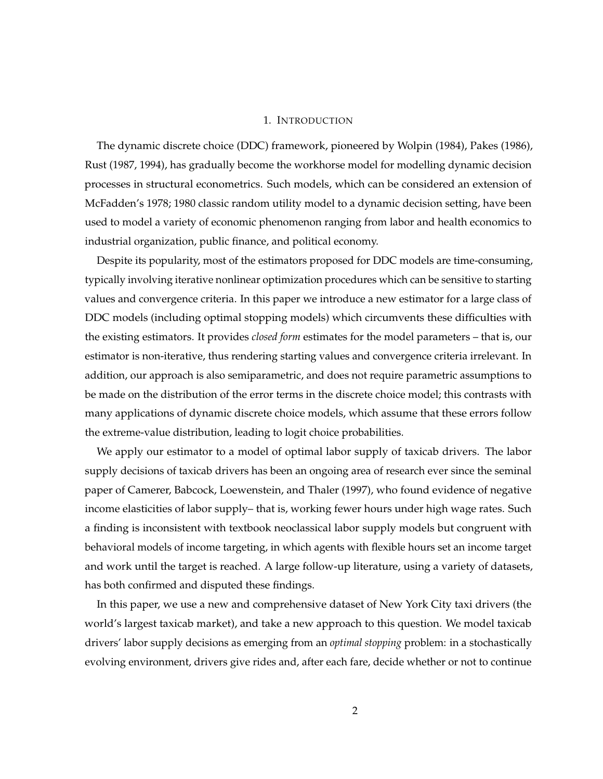## 1. INTRODUCTION

The dynamic discrete choice (DDC) framework, pioneered by [Wolpin](#page-25-0) [\(1984\)](#page-25-0), [Pakes](#page-25-1) [\(1986\)](#page-25-1), [Rust](#page-25-2) [\(1987,](#page-25-2) [1994\)](#page-25-3), has gradually become the workhorse model for modelling dynamic decision processes in structural econometrics. Such models, which can be considered an extension of McFadden's [1978;](#page-24-0) [1980](#page-24-1) classic random utility model to a dynamic decision setting, have been used to model a variety of economic phenomenon ranging from labor and health economics to industrial organization, public finance, and political economy.

Despite its popularity, most of the estimators proposed for DDC models are time-consuming, typically involving iterative nonlinear optimization procedures which can be sensitive to starting values and convergence criteria. In this paper we introduce a new estimator for a large class of DDC models (including optimal stopping models) which circumvents these difficulties with the existing estimators. It provides *closed form* estimates for the model parameters – that is, our estimator is non-iterative, thus rendering starting values and convergence criteria irrelevant. In addition, our approach is also semiparametric, and does not require parametric assumptions to be made on the distribution of the error terms in the discrete choice model; this contrasts with many applications of dynamic discrete choice models, which assume that these errors follow the extreme-value distribution, leading to logit choice probabilities.

We apply our estimator to a model of optimal labor supply of taxicab drivers. The labor supply decisions of taxicab drivers has been an ongoing area of research ever since the seminal paper of [Camerer, Babcock, Loewenstein, and Thaler](#page-23-0) [\(1997\)](#page-23-0), who found evidence of negative income elasticities of labor supply– that is, working fewer hours under high wage rates. Such a finding is inconsistent with textbook neoclassical labor supply models but congruent with behavioral models of income targeting, in which agents with flexible hours set an income target and work until the target is reached. A large follow-up literature, using a variety of datasets, has both confirmed and disputed these findings.

In this paper, we use a new and comprehensive dataset of New York City taxi drivers (the world's largest taxicab market), and take a new approach to this question. We model taxicab drivers' labor supply decisions as emerging from an *optimal stopping* problem: in a stochastically evolving environment, drivers give rides and, after each fare, decide whether or not to continue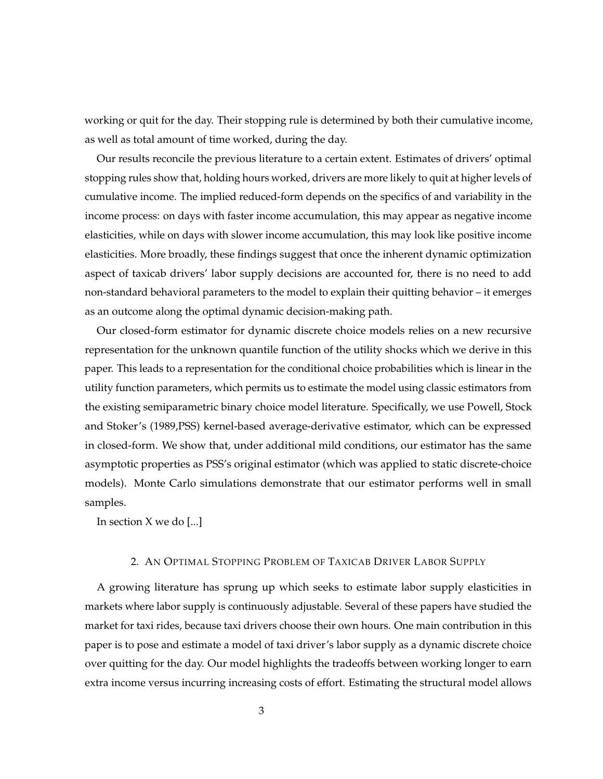working or quit for the day. Their stopping rule is determined by both their cumulative income, as well as total amount of time worked, during the day.

Our results reconcile the previous literature to a certain extent. Estimates of drivers' optimal stopping rules show that, holding hours worked, drivers are more likely to quit at higher levels of cumulative income. The implied reduced-form depends on the specifics of and variability in the income process: on days with faster income accumulation, this may appear as negative income elasticities, while on days with slower income accumulation, this may look like positive income elasticities. More broadly, these findings suggest that once the inherent dynamic optimization aspect of taxicab drivers' labor supply decisions are accounted for, there is no need to add non-standard behavioral parameters to the model to explain their quitting behavior – it emerges as an outcome along the optimal dynamic decision-making path.

Our closed-form estimator for dynamic discrete choice models relies on a new recursive representation for the unknown quantile function of the utility shocks which we derive in this paper. This leads to a representation for the conditional choice probabilities which is linear in the utility function parameters, which permits us to estimate the model using classic estimators from the existing semiparametric binary choice model literature. Specifically, we use Powell, Stock and Stoker's [\(1989,](#page-25-4)PSS) kernel-based average-derivative estimator, which can be expressed in closed-form. We show that, under additional mild conditions, our estimator has the same asymptotic properties as PSS's original estimator (which was applied to static discrete-choice models). Monte Carlo simulations demonstrate that our estimator performs well in small samples.

In section X we do [...]

# 2. AN OPTIMAL STOPPING PROBLEM OF TAXICAB DRIVER LABOR SUPPLY

A growing literature has sprung up which seeks to estimate labor supply elasticities in markets where labor supply is continuously adjustable. Several of these papers have studied the market for taxi rides, because taxi drivers choose their own hours. One main contribution in this paper is to pose and estimate a model of taxi driver's labor supply as a dynamic discrete choice over quitting for the day. Our model highlights the tradeoffs between working longer to earn extra income versus incurring increasing costs of effort. Estimating the structural model allows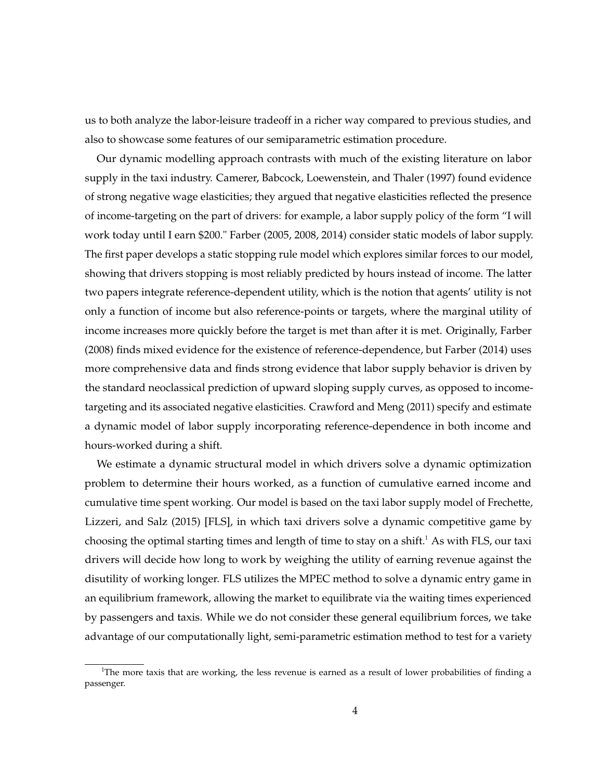us to both analyze the labor-leisure tradeoff in a richer way compared to previous studies, and also to showcase some features of our semiparametric estimation procedure.

Our dynamic modelling approach contrasts with much of the existing literature on labor supply in the taxi industry. [Camerer, Babcock, Loewenstein, and Thaler](#page-23-0) [\(1997\)](#page-23-0) found evidence of strong negative wage elasticities; they argued that negative elasticities reflected the presence of income-targeting on the part of drivers: for example, a labor supply policy of the form "I will work today until I earn \$200." [Farber](#page-23-1) [\(2005,](#page-23-1) [2008,](#page-23-2) [2014\)](#page-23-3) consider static models of labor supply. The first paper develops a static stopping rule model which explores similar forces to our model, showing that drivers stopping is most reliably predicted by hours instead of income. The latter two papers integrate reference-dependent utility, which is the notion that agents' utility is not only a function of income but also reference-points or targets, where the marginal utility of income increases more quickly before the target is met than after it is met. Originally, [Farber](#page-23-2) [\(2008\)](#page-23-2) finds mixed evidence for the existence of reference-dependence, but [Farber](#page-23-3) [\(2014\)](#page-23-3) uses more comprehensive data and finds strong evidence that labor supply behavior is driven by the standard neoclassical prediction of upward sloping supply curves, as opposed to incometargeting and its associated negative elasticities. [Crawford and Meng](#page-23-4) [\(2011\)](#page-23-4) specify and estimate a dynamic model of labor supply incorporating reference-dependence in both income and hours-worked during a shift.

We estimate a dynamic structural model in which drivers solve a dynamic optimization problem to determine their hours worked, as a function of cumulative earned income and cumulative time spent working. Our model is based on the taxi labor supply model of [Frechette,](#page-23-5) [Lizzeri, and Salz](#page-23-5) [\(2015\)](#page-23-5) [FLS], in which taxi drivers solve a dynamic competitive game by choosing the optimal starting times and length of time to stay on a shift.<sup>1</sup> As with FLS, our taxi drivers will decide how long to work by weighing the utility of earning revenue against the disutility of working longer. FLS utilizes the MPEC method to solve a dynamic entry game in an equilibrium framework, allowing the market to equilibrate via the waiting times experienced by passengers and taxis. While we do not consider these general equilibrium forces, we take advantage of our computationally light, semi-parametric estimation method to test for a variety

<sup>&</sup>lt;sup>1</sup>The more taxis that are working, the less revenue is earned as a result of lower probabilities of finding a passenger.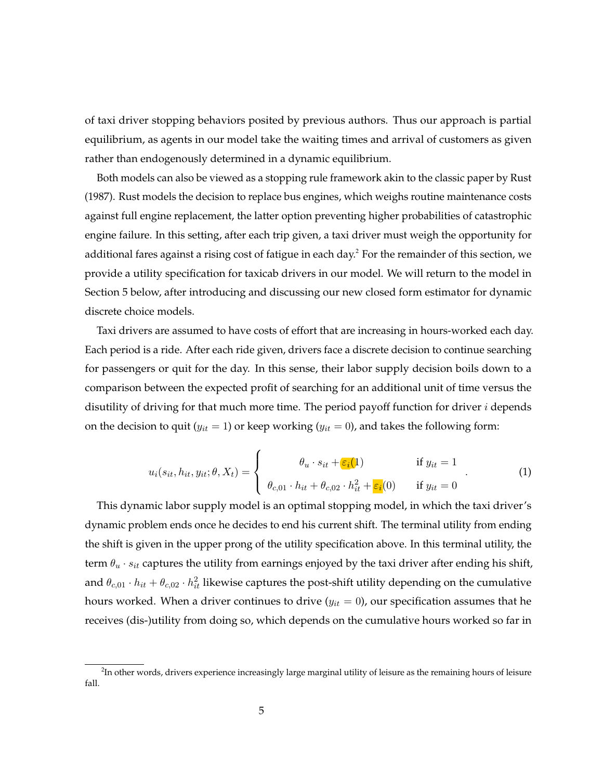of taxi driver stopping behaviors posited by previous authors. Thus our approach is partial equilibrium, as agents in our model take the waiting times and arrival of customers as given rather than endogenously determined in a dynamic equilibrium.

Both models can also be viewed as a stopping rule framework akin to the classic paper by [Rust](#page-25-2) [\(1987\)](#page-25-2). Rust models the decision to replace bus engines, which weighs routine maintenance costs against full engine replacement, the latter option preventing higher probabilities of catastrophic engine failure. In this setting, after each trip given, a taxi driver must weigh the opportunity for additional fares against a rising cost of fatigue in each day. $^2$  For the remainder of this section, we provide a utility specification for taxicab drivers in our model. We will return to the model in Section 5 below, after introducing and discussing our new closed form estimator for dynamic discrete choice models.

Taxi drivers are assumed to have costs of effort that are increasing in hours-worked each day. Each period is a ride. After each ride given, drivers face a discrete decision to continue searching for passengers or quit for the day. In this sense, their labor supply decision boils down to a comparison between the expected profit of searching for an additional unit of time versus the disutility of driving for that much more time. The period payoff function for driver  $i$  depends on the decision to quit ( $y_{it} = 1$ ) or keep working ( $y_{it} = 0$ ), and takes the following form:

$$
u_i(s_{it}, h_{it}, y_{it}; \theta, X_t) = \begin{cases} \theta_u \cdot s_{it} + \varepsilon_i(1) & \text{if } y_{it} = 1 \\ \theta_{c,01} \cdot h_{it} + \theta_{c,02} \cdot h_{it}^2 + \varepsilon_i(0) & \text{if } y_{it} = 0 \end{cases} \tag{1}
$$

This dynamic labor supply model is an optimal stopping model, in which the taxi driver's dynamic problem ends once he decides to end his current shift. The terminal utility from ending the shift is given in the upper prong of the utility specification above. In this terminal utility, the term  $\theta_u \cdot s_{it}$  captures the utility from earnings enjoyed by the taxi driver after ending his shift, and  $\theta_{c,01}\cdot h_{it}+\theta_{c,02}\cdot h_{it}^2$  likewise captures the post-shift utility depending on the cumulative hours worked. When a driver continues to drive  $(y_{it} = 0)$ , our specification assumes that he receives (dis-)utility from doing so, which depends on the cumulative hours worked so far in

<sup>&</sup>lt;sup>2</sup>In other words, drivers experience increasingly large marginal utility of leisure as the remaining hours of leisure fall.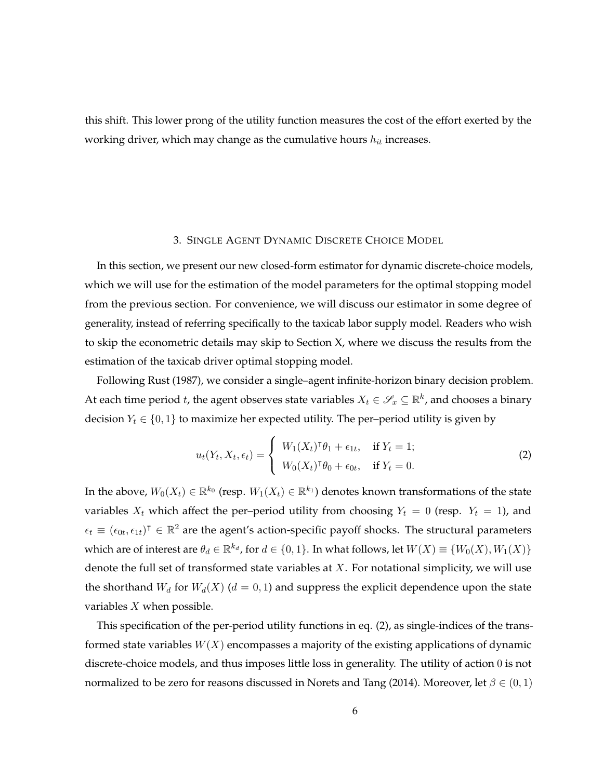this shift. This lower prong of the utility function measures the cost of the effort exerted by the working driver, which may change as the cumulative hours  $h_{it}$  increases.

## 3. SINGLE AGENT DYNAMIC DISCRETE CHOICE MODEL

In this section, we present our new closed-form estimator for dynamic discrete-choice models, which we will use for the estimation of the model parameters for the optimal stopping model from the previous section. For convenience, we will discuss our estimator in some degree of generality, instead of referring specifically to the taxicab labor supply model. Readers who wish to skip the econometric details may skip to Section X, where we discuss the results from the estimation of the taxicab driver optimal stopping model.

Following [Rust](#page-25-2) [\(1987\)](#page-25-2), we consider a single–agent infinite-horizon binary decision problem. At each time period  $t$ , the agent observes state variables  $X_t \in \mathscr{S}_x \subseteq \mathbb{R}^k$ , and chooses a binary decision  $Y_t \in \{0, 1\}$  to maximize her expected utility. The per–period utility is given by

<span id="page-5-0"></span>
$$
u_t(Y_t, X_t, \epsilon_t) = \begin{cases} W_1(X_t)^\intercal \theta_1 + \epsilon_{1t}, & \text{if } Y_t = 1; \\ W_0(X_t)^\intercal \theta_0 + \epsilon_{0t}, & \text{if } Y_t = 0. \end{cases}
$$
 (2)

In the above,  $W_0(X_t)\in \mathbb{R}^{k_0}$  (resp.  $W_1(X_t)\in \mathbb{R}^{k_1}$ ) denotes known transformations of the state variables  $X_t$  which affect the per-period utility from choosing  $Y_t = 0$  (resp.  $Y_t = 1$ ), and  $\epsilon_t \equiv (\epsilon_{0t}, \epsilon_{1t})^{\intercal} \in \mathbb{R}^2$  are the agent's action-specific payoff shocks. The structural parameters which are of interest are  $\theta_d \in \mathbb{R}^{k_d}$ , for  $d \in \{0,1\}$ . In what follows, let  $W(X) \equiv \{W_0(X), W_1(X)\}$ denote the full set of transformed state variables at  $X$ . For notational simplicity, we will use the shorthand  $W_d$  for  $W_d(X)$  ( $d = 0, 1$ ) and suppress the explicit dependence upon the state variables  $X$  when possible.

This specification of the per-period utility functions in eq. [\(2\)](#page-5-0), as single-indices of the transformed state variables  $W(X)$  encompasses a majority of the existing applications of dynamic discrete-choice models, and thus imposes little loss in generality. The utility of action 0 is not normalized to be zero for reasons discussed in [Norets and Tang](#page-24-2) [\(2014\)](#page-24-2). Moreover, let  $\beta \in (0,1)$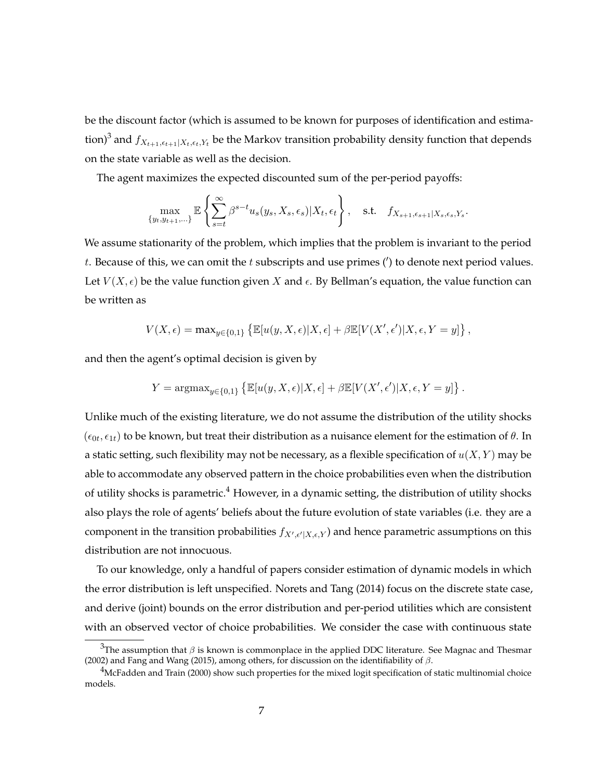be the discount factor (which is assumed to be known for purposes of identification and estimation) $^3$  and  $f_{X_{t+1},\epsilon_{t+1}|X_t,\epsilon_t,Y_t}$  be the Markov transition probability density function that depends on the state variable as well as the decision.

The agent maximizes the expected discounted sum of the per-period payoffs:

$$
\max_{\{y_t, y_{t+1}, \ldots\}} \mathbb{E}\left\{\sum_{s=t}^{\infty} \beta^{s-t} u_s(y_s, X_s, \epsilon_s) | X_t, \epsilon_t\right\}, \quad \text{s.t.} \quad f_{X_{s+1}, \epsilon_{s+1} | X_s, \epsilon_s, Y_s}.
$$

We assume stationarity of the problem, which implies that the problem is invariant to the period t. Because of this, we can omit the t subscripts and use primes ( $\prime$ ) to denote next period values. Let  $V(X, \epsilon)$  be the value function given X and  $\epsilon$ . By Bellman's equation, the value function can be written as

$$
V(X,\epsilon) = \max_{y \in \{0,1\}} \left\{ \mathbb{E}[u(y,X,\epsilon)|X,\epsilon] + \beta \mathbb{E}[V(X',\epsilon')|X,\epsilon,Y=y] \right\},\,
$$

and then the agent's optimal decision is given by

$$
Y = \operatorname{argmax}_{y \in \{0,1\}} \left\{ \mathbb{E}[u(y, X, \epsilon) | X, \epsilon] + \beta \mathbb{E}[V(X', \epsilon') | X, \epsilon, Y = y] \right\}
$$

.

Unlike much of the existing literature, we do not assume the distribution of the utility shocks  $(\epsilon_{0t}, \epsilon_{1t})$  to be known, but treat their distribution as a nuisance element for the estimation of  $\theta$ . In a static setting, such flexibility may not be necessary, as a flexible specification of  $u(X, Y)$  may be able to accommodate any observed pattern in the choice probabilities even when the distribution of utility shocks is parametric.<sup>4</sup> However, in a dynamic setting, the distribution of utility shocks also plays the role of agents' beliefs about the future evolution of state variables (i.e. they are a component in the transition probabilities  $f_{X',\epsilon'|X,\epsilon,Y}$  and hence parametric assumptions on this distribution are not innocuous.

To our knowledge, only a handful of papers consider estimation of dynamic models in which the error distribution is left unspecified. [Norets and Tang](#page-24-2) [\(2014\)](#page-24-2) focus on the discrete state case, and derive (joint) bounds on the error distribution and per-period utilities which are consistent with an observed vector of choice probabilities. We consider the case with continuous state

<sup>&</sup>lt;sup>3</sup>The assumption that  $\beta$  is known is commonplace in the applied DDC literature. See [Magnac and Thesmar](#page-24-3) [\(2002\)](#page-24-3) and [Fang and Wang](#page-23-6) [\(2015\)](#page-23-6), among others, for discussion on the identifiability of  $\beta$ .

<sup>&</sup>lt;sup>4</sup>[McFadden and Train](#page-24-4) [\(2000\)](#page-24-4) show such properties for the mixed logit specification of static multinomial choice models.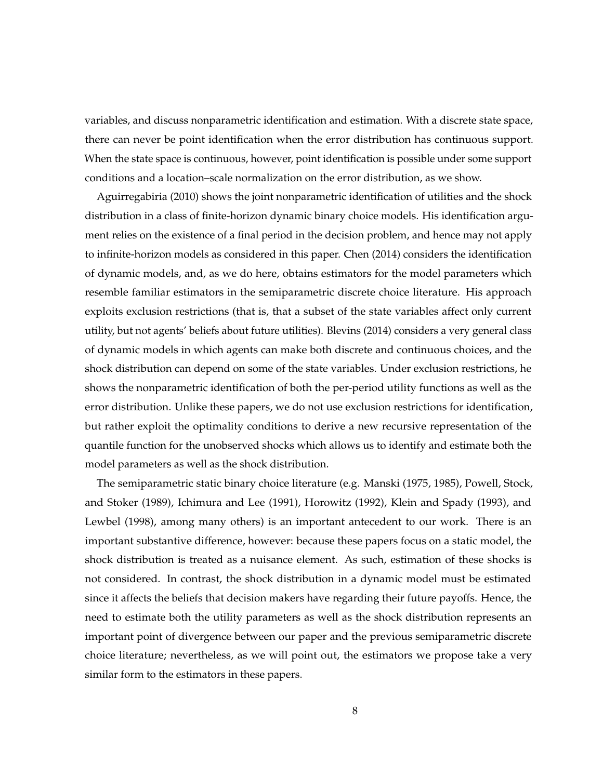variables, and discuss nonparametric identification and estimation. With a discrete state space, there can never be point identification when the error distribution has continuous support. When the state space is continuous, however, point identification is possible under some support conditions and a location–scale normalization on the error distribution, as we show.

[Aguirregabiria](#page-22-0) [\(2010\)](#page-22-0) shows the joint nonparametric identification of utilities and the shock distribution in a class of finite-horizon dynamic binary choice models. His identification argument relies on the existence of a final period in the decision problem, and hence may not apply to infinite-horizon models as considered in this paper. [Chen](#page-23-7) [\(2014\)](#page-23-7) considers the identification of dynamic models, and, as we do here, obtains estimators for the model parameters which resemble familiar estimators in the semiparametric discrete choice literature. His approach exploits exclusion restrictions (that is, that a subset of the state variables affect only current utility, but not agents' beliefs about future utilities). [Blevins](#page-23-8) [\(2014\)](#page-23-8) considers a very general class of dynamic models in which agents can make both discrete and continuous choices, and the shock distribution can depend on some of the state variables. Under exclusion restrictions, he shows the nonparametric identification of both the per-period utility functions as well as the error distribution. Unlike these papers, we do not use exclusion restrictions for identification, but rather exploit the optimality conditions to derive a new recursive representation of the quantile function for the unobserved shocks which allows us to identify and estimate both the model parameters as well as the shock distribution.

The semiparametric static binary choice literature (e.g. [Manski](#page-24-5) [\(1975,](#page-24-5) [1985\)](#page-24-6), [Powell, Stock,](#page-25-4) [and Stoker](#page-25-4) [\(1989\)](#page-25-4), [Ichimura and Lee](#page-24-7) [\(1991\)](#page-24-7), [Horowitz](#page-24-8) [\(1992\)](#page-24-8), [Klein and Spady](#page-24-9) [\(1993\)](#page-24-9), and [Lewbel](#page-24-10) [\(1998\)](#page-24-10), among many others) is an important antecedent to our work. There is an important substantive difference, however: because these papers focus on a static model, the shock distribution is treated as a nuisance element. As such, estimation of these shocks is not considered. In contrast, the shock distribution in a dynamic model must be estimated since it affects the beliefs that decision makers have regarding their future payoffs. Hence, the need to estimate both the utility parameters as well as the shock distribution represents an important point of divergence between our paper and the previous semiparametric discrete choice literature; nevertheless, as we will point out, the estimators we propose take a very similar form to the estimators in these papers.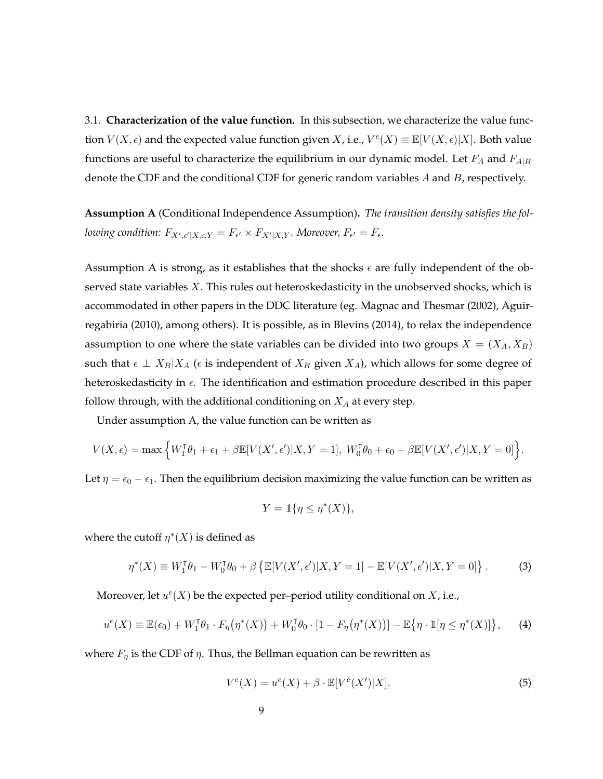3.1. **Characterization of the value function.** In this subsection, we characterize the value function  $V(X, \epsilon)$  and the expected value function given X, i.e.,  $V^e(X) \equiv \mathbb{E}[V(X, \epsilon)|X]$ . Both value functions are useful to characterize the equilibrium in our dynamic model. Let  $F_A$  and  $F_{A|B}$ denote the CDF and the conditional CDF for generic random variables  $A$  and  $B$ , respectively.

<span id="page-8-0"></span>**Assumption A** (Conditional Independence Assumption)**.** *The transition density satisfies the fol*lowing condition:  $F_{X',\epsilon'|X,\epsilon,Y} = F_{\epsilon'} \times F_{X'|X,Y}$ . Moreover,  $F_{\epsilon'} = F_{\epsilon}$ .

Assumption [A](#page-8-0) is strong, as it establishes that the shocks  $\epsilon$  are fully independent of the observed state variables X. This rules out heteroskedasticity in the unobserved shocks, which is accommodated in other papers in the DDC literature (eg. [Magnac and Thesmar](#page-24-3) [\(2002\)](#page-24-3), [Aguir](#page-22-0)[regabiria](#page-22-0) [\(2010\)](#page-22-0), among others). It is possible, as in [Blevins](#page-23-8) [\(2014\)](#page-23-8), to relax the independence assumption to one where the state variables can be divided into two groups  $X = (X_A, X_B)$ such that  $\epsilon \perp X_B|X_A$  ( $\epsilon$  is independent of  $X_B$  given  $X_A$ ), which allows for some degree of heteroskedasticity in  $\epsilon$ . The identification and estimation procedure described in this paper follow through, with the additional conditioning on  $X_A$  at every step.

Under assumption [A,](#page-8-0) the value function can be written as

$$
V(X,\epsilon) = \max\left\{W_1^{\mathsf{T}}\theta_1 + \epsilon_1 + \beta \mathbb{E}[V(X',\epsilon')]X, Y = 1], W_0^{\mathsf{T}}\theta_0 + \epsilon_0 + \beta \mathbb{E}[V(X',\epsilon')]X, Y = 0]\right\}.
$$

Let  $\eta = \epsilon_0 - \epsilon_1$ . Then the equilibrium decision maximizing the value function can be written as

$$
Y = \mathbb{1}\{\eta \le \eta^*(X)\},
$$

where the cutoff  $\eta^*(X)$  is defined as

<span id="page-8-2"></span>
$$
\eta^*(X) \equiv W_1^{\sf T} \theta_1 - W_0^{\sf T} \theta_0 + \beta \left\{ \mathbb{E}[V(X', \epsilon')]X, Y = 1] - \mathbb{E}[V(X', \epsilon')]X, Y = 0] \right\}.
$$
 (3)

Moreover, let  $u^e(X)$  be the expected per–period utility conditional on X, i.e.,

<span id="page-8-3"></span>
$$
u^e(X) \equiv \mathbb{E}(\epsilon_0) + W_1^{\mathsf{T}} \theta_1 \cdot F_{\eta}(\eta^*(X)) + W_0^{\mathsf{T}} \theta_0 \cdot [1 - F_{\eta}(\eta^*(X))] - \mathbb{E}\{\eta \cdot \mathbb{I}[\eta \le \eta^*(X)]\},\tag{4}
$$

where  $F_{\eta}$  is the CDF of  $\eta$ . Thus, the Bellman equation can be rewritten as

<span id="page-8-1"></span>
$$
V^{e}(X) = u^{e}(X) + \beta \cdot \mathbb{E}[V^{e}(X')|X].
$$
\n<sup>(5)</sup>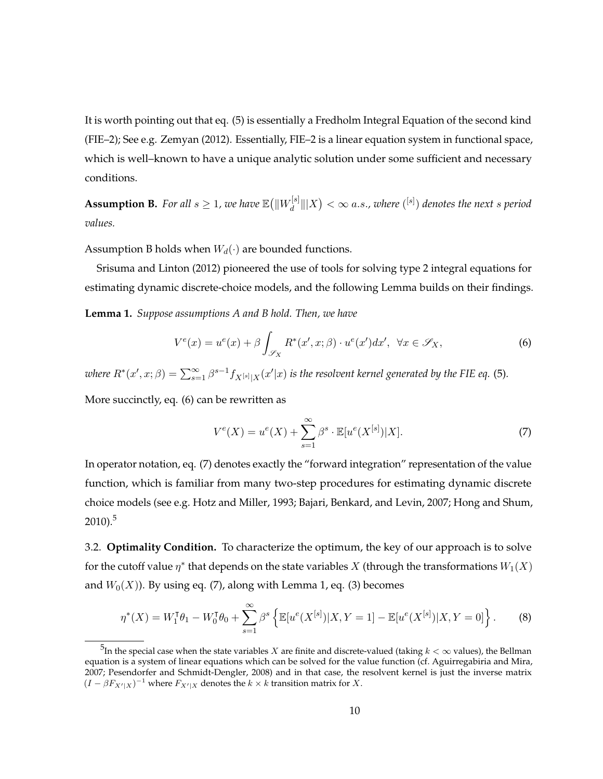It is worth pointing out that eq. [\(5\)](#page-8-1) is essentially a Fredholm Integral Equation of the second kind (FIE–2); See e.g. [Zemyan](#page-25-5) [\(2012\)](#page-25-5). Essentially, FIE–2 is a linear equation system in functional space, which is well–known to have a unique analytic solution under some sufficient and necessary conditions.

<span id="page-9-0"></span>**Assumption B.** For all  $s \geq 1$ , we have  $\mathbb{E}(\|W_d^{[s]})$  $\frac{d}{d}$   $\|X\| < \infty$  a.s., where  $({}^{\left[s\right]})$  denotes the next  $s$  period *values.*

Assumption [B](#page-9-0) holds when  $W_d(\cdot)$  are bounded functions.

[Srisuma and Linton](#page-25-6) [\(2012\)](#page-25-6) pioneered the use of tools for solving type 2 integral equations for estimating dynamic discrete-choice models, and the following Lemma builds on their findings.

<span id="page-9-3"></span>**Lemma 1.** *Suppose assumptions [A](#page-8-0) and [B](#page-9-0) hold. Then, we have*

<span id="page-9-1"></span>
$$
V^{e}(x) = u^{e}(x) + \beta \int_{\mathcal{S}_X} R^*(x', x; \beta) \cdot u^{e}(x') dx', \ \forall x \in \mathcal{S}_X,
$$
 (6)

where  $R^*(x',x;\beta)=\sum_{s=1}^\infty\beta^{s-1}f_{X^{[s]}|X}(x'|x)$  is the resolvent kernel generated by the FIE eq. [\(5\)](#page-8-1).

More succinctly, eq. [\(6\)](#page-9-1) can be rewritten as

<span id="page-9-2"></span>
$$
V^{e}(X) = u^{e}(X) + \sum_{s=1}^{\infty} \beta^{s} \cdot \mathbb{E}[u^{e}(X^{[s]})|X].
$$
 (7)

In operator notation, eq. [\(7\)](#page-9-2) denotes exactly the "forward integration" representation of the value function, which is familiar from many two-step procedures for estimating dynamic discrete choice models (see e.g. [Hotz and Miller, 1993;](#page-24-11) [Bajari, Benkard, and Levin, 2007;](#page-23-9) [Hong and Shum,](#page-23-10)  $2010$ ).<sup>5</sup>

3.2. **Optimality Condition.** To characterize the optimum, the key of our approach is to solve for the cutoff value  $\eta^*$  that depends on the state variables X (through the transformations  $W_1(X)$ and  $W_0(X)$ ). By using eq. [\(7\)](#page-9-2), along with Lemma [1,](#page-9-3) eq. [\(3\)](#page-8-2) becomes

$$
\eta^*(X) = W_1^{\mathsf{T}} \theta_1 - W_0^{\mathsf{T}} \theta_0 + \sum_{s=1}^{\infty} \beta^s \left\{ \mathbb{E}[u^e(X^{[s]})|X,Y=1] - \mathbb{E}[u^e(X^{[s]})|X,Y=0] \right\}.
$$
 (8)

 $^5$ In the special case when the state variables  $X$  are finite and discrete-valued (taking  $k<\infty$  values), the Bellman equation is a system of linear equations which can be solved for the value function (cf. [Aguirregabiria and Mira,](#page-23-11) [2007;](#page-23-11) [Pesendorfer and Schmidt-Dengler, 2008\)](#page-25-7) and in that case, the resolvent kernel is just the inverse matrix  $(I - \beta F_{X'|X})^{-1}$  where  $F_{X'|X}$  denotes the  $k \times k$  transition matrix for X.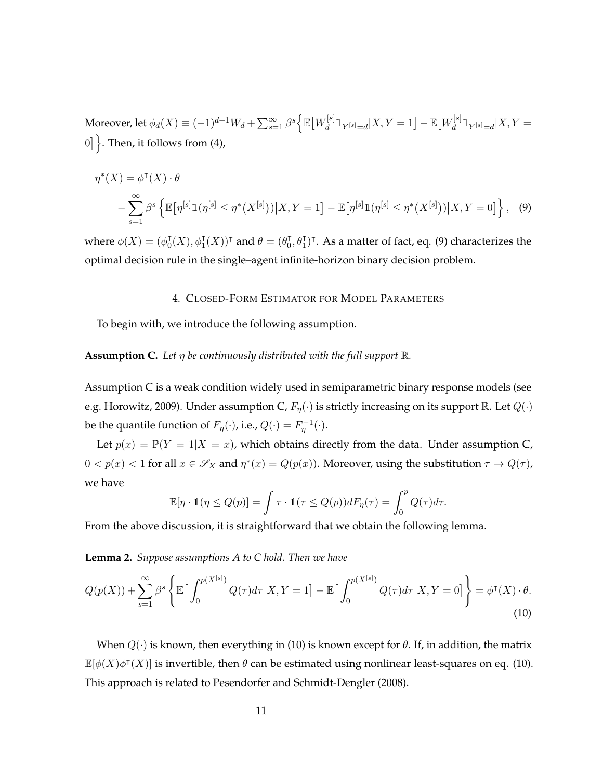Moreover, let  $\phi_d(X) \equiv (-1)^{d+1} W_d + \sum_{s=1}^{\infty} \beta^s \Big\{ \mathbb{E} \big[ W_d^{[s]} \big]$  $\frac{d}{d}\mathbb{1}_{Y^{[s]}=d}|X,Y=1\big]-\mathbb{E}\big[W^{[s]}_d\big]$  $\frac{d}{d} \mathbb{1}_{Y^{[s]}=d} | X, Y =$ 0]  $\}$ . Then, it follows from [\(4\)](#page-8-3),

$$
\eta^*(X) = \phi^{\mathsf{T}}(X) \cdot \theta
$$
  
 
$$
- \sum_{s=1}^{\infty} \beta^s \left\{ \mathbb{E}[\eta^{[s]} \mathbb{1}(\eta^{[s]} \le \eta^*(X^{[s]})) | X, Y = 1] - \mathbb{E}[\eta^{[s]} \mathbb{1}(\eta^{[s]} \le \eta^*(X^{[s]})) | X, Y = 0] \right\}, \tag{9}
$$

where  $\phi(X) = (\phi_0^{\dagger})$  $\mathcal{J}_0^{\mathsf{T}}(X), \phi_1^{\mathsf{T}}(X))^{\mathsf{T}}$  and  $\theta = (\theta_0^{\mathsf{T}})$  $(0, \theta_1^{\intercal})^{\intercal}$ . As a matter of fact, eq. [\(9\)](#page-10-0) characterizes the optimal decision rule in the single–agent infinite-horizon binary decision problem.

### <span id="page-10-0"></span>4. CLOSED-FORM ESTIMATOR FOR MODEL PARAMETERS

To begin with, we introduce the following assumption.

## <span id="page-10-1"></span>**Assumption C.** Let  $\eta$  be continuously distributed with the full support  $\mathbb{R}$ .

Assumption [C](#page-10-1) is a weak condition widely used in semiparametric binary response models (see e.g. [Horowitz, 2009\)](#page-24-12). Under assumption [C,](#page-10-1)  $F_n(\cdot)$  is strictly increasing on its support R. Let  $Q(\cdot)$ be the quantile function of  $F_{\eta}(\cdot)$ , i.e.,  $Q(\cdot) = F_{\eta}^{-1}(\cdot)$ .

Let  $p(x) = \mathbb{P}(Y = 1 | X = x)$ , which obtains directly from the data. Under assumption [C,](#page-10-1)  $0 < p(x) < 1$  for all  $x \in \mathscr{S}_X$  and  $\eta^*(x) = Q(p(x))$ . Moreover, using the substitution  $\tau \to Q(\tau)$ , we have

$$
\mathbb{E}[\eta \cdot \mathbb{1}(\eta \le Q(p)] = \int \tau \cdot \mathbb{1}(\tau \le Q(p)) dF_{\eta}(\tau) = \int_0^p Q(\tau) d\tau.
$$

From the above discussion, it is straightforward that we obtain the following lemma.

**Lemma 2.** *Suppose assumptions [A](#page-8-0) to [C](#page-10-1) hold. Then we have*

<span id="page-10-2"></span>
$$
Q(p(X)) + \sum_{s=1}^{\infty} \beta^s \left\{ \mathbb{E} \Big[ \int_0^{p(X^{[s]})} Q(\tau) d\tau \Big| X, Y = 1 \Big] - \mathbb{E} \Big[ \int_0^{p(X^{[s]})} Q(\tau) d\tau \Big| X, Y = 0 \Big] \right\} = \phi^{\mathsf{T}}(X) \cdot \theta.
$$
\n(10)

When  $Q(\cdot)$  is known, then everything in [\(10\)](#page-10-2) is known except for  $\theta$ . If, in addition, the matrix  $\mathbb{E}[\phi(X)\phi^{\intercal}(X)]$  is invertible, then θ can be estimated using nonlinear least-squares on eq. [\(10\)](#page-10-2). This approach is related to [Pesendorfer and Schmidt-Dengler](#page-25-7) [\(2008\)](#page-25-7).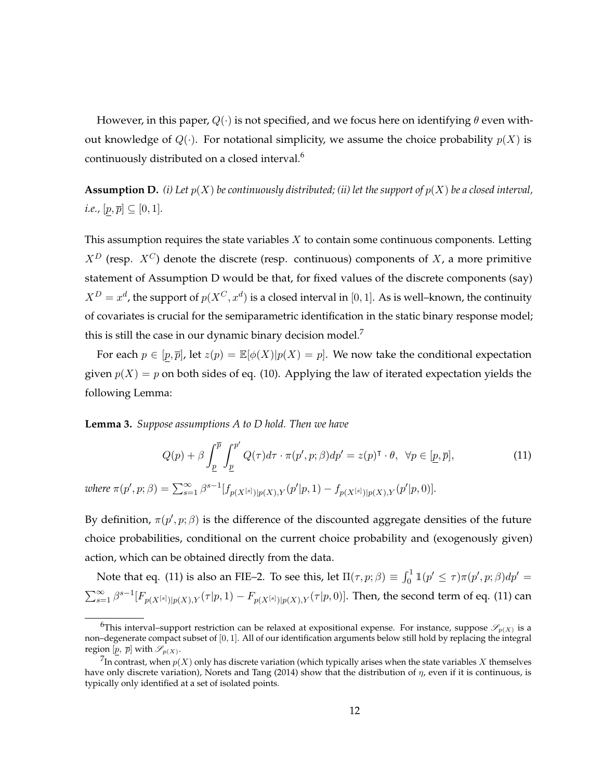However, in this paper,  $Q(\cdot)$  is not specified, and we focus here on identifying  $\theta$  even without knowledge of  $Q(\cdot)$ . For notational simplicity, we assume the choice probability  $p(X)$  is continuously distributed on a closed interval.<sup>6</sup>

<span id="page-11-0"></span>**Assumption D.** *(i)* Let  $p(X)$  be continuously distributed; *(ii)* let the support of  $p(X)$  be a closed interval, *i.e.,*  $[p, \overline{p}] \subseteq [0, 1]$ *.* 

This assumption requires the state variables  $X$  to contain some continuous components. Letting  $X^D$  (resp.  $X^C$ ) denote the discrete (resp. continuous) components of X, a more primitive statement of Assumption [D](#page-11-0) would be that, for fixed values of the discrete components (say)  $X^D = x^d$ , the support of  $p(X^C, x^d)$  is a closed interval in [0, 1]. As is well–known, the continuity of covariates is crucial for the semiparametric identification in the static binary response model; this is still the case in our dynamic binary decision model.<sup>7</sup>

For each  $p \in [p, \overline{p}]$ , let  $z(p) = \mathbb{E}[\phi(X)|p(X) = p]$ . We now take the conditional expectation given  $p(X) = p$  on both sides of eq. [\(10\)](#page-10-2). Applying the law of iterated expectation yields the following Lemma:

**Lemma 3.** *Suppose assumptions [A](#page-8-0) to [D](#page-11-0) hold. Then we have*

<span id="page-11-1"></span>
$$
Q(p) + \beta \int_{\underline{p}}^{\overline{p}} \int_{\underline{p}}^{p'} Q(\tau) d\tau \cdot \pi(p', p; \beta) dp' = z(p)^{\mathsf{T}} \cdot \theta, \ \ \forall p \in [\underline{p}, \overline{p}], \tag{11}
$$

 $where \ \pi(p', p; \beta) = \sum_{s=1}^{\infty} \beta^{s-1} [f_{p(X^{[s]})|p(X), Y}(p'|p, 1) - f_{p(X^{[s]})|p(X), Y}(p'|p, 0)].$ 

By definition,  $\pi(p', p; \beta)$  is the difference of the discounted aggregate densities of the future choice probabilities, conditional on the current choice probability and (exogenously given) action, which can be obtained directly from the data.

Note that eq. [\(11\)](#page-11-1) is also an FIE-2. To see this, let  $\Pi(\tau,p;\beta) \equiv \int_0^1 \mathbb{1}(p' \leq \tau) \pi(p',p;\beta) dp' =$  $\sum_{s=1}^{\infty}\beta^{s-1}[F_{p(X^{[s]})|p(X),Y}(\tau|p,1)-F_{p(X^{[s]})|p(X),Y}(\tau|p,0)].$  Then, the second term of eq. [\(11\)](#page-11-1) can

<sup>&</sup>lt;sup>6</sup>This interval–support restriction can be relaxed at expositional expense. For instance, suppose  $\mathscr{S}_{p(X)}$  is a non–degenerate compact subset of [0, 1]. All of our identification arguments below still hold by replacing the integral region  $[p, \overline{p}]$  with  $\mathscr{S}_{p(X)}$ .

 $^7$ In contrast, when  $p(X)$  only has discrete variation (which typically arises when the state variables  $X$  themselves have only discrete variation), [Norets and Tang](#page-24-2) [\(2014\)](#page-24-2) show that the distribution of  $\eta$ , even if it is continuous, is typically only identified at a set of isolated points.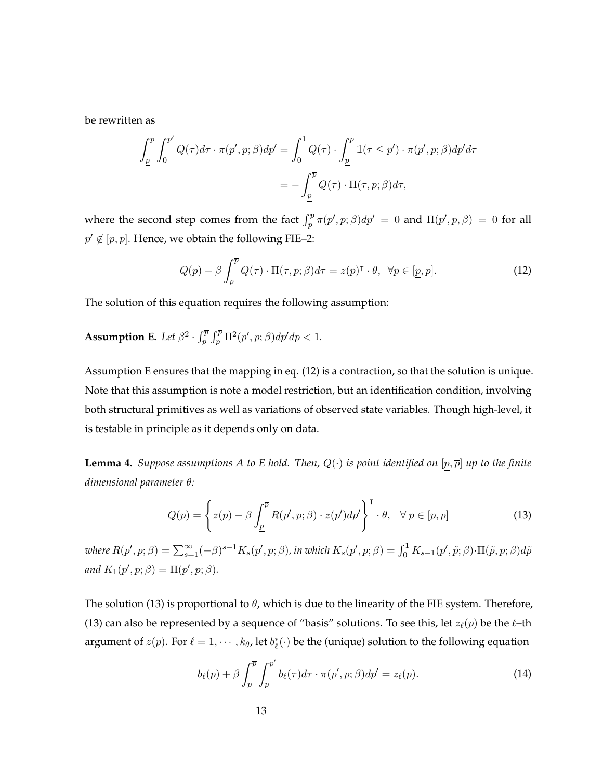be rewritten as

$$
\int_{\underline{p}}^{\overline{p}} \int_0^{p'} Q(\tau) d\tau \cdot \pi(p', p; \beta) dp' = \int_0^1 Q(\tau) \cdot \int_{\underline{p}}^{\overline{p}} \mathbb{1}(\tau \le p') \cdot \pi(p', p; \beta) dp' d\tau
$$

$$
= -\int_{\underline{p}}^{\overline{p}} Q(\tau) \cdot \Pi(\tau, p; \beta) d\tau,
$$

where the second step comes from the fact  $\int_p^{\overline{p}} \pi(p', p; \beta) dp' = 0$  and  $\Pi(p', p, \beta) = 0$  for all  $p' \not\in [p, \overline{p}]$ . Hence, we obtain the following FIE–2:

<span id="page-12-1"></span>
$$
Q(p) - \beta \int_{\underline{p}}^{\overline{p}} Q(\tau) \cdot \Pi(\tau, p; \beta) d\tau = z(p)^{\mathsf{T}} \cdot \theta, \ \forall p \in [\underline{p}, \overline{p}]. \tag{12}
$$

The solution of this equation requires the following assumption:

# <span id="page-12-0"></span>**Assumption E.** Let  $\beta^2 \cdot \int_p^{\overline{p}} \int_p^{\overline{p}} \Pi^2(p', p; \beta) dp' dp < 1$ .

Assumption [E](#page-12-0) ensures that the mapping in eq. [\(12\)](#page-12-1) is a contraction, so that the solution is unique. Note that this assumption is note a model restriction, but an identification condition, involving both structural primitives as well as variations of observed state variables. Though high-level, it is testable in principle as it depends only on data.

<span id="page-12-3"></span>**Lemma 4.** *Suppose assumptions* [A](#page-8-0) *to* [E](#page-12-0) *hold.* Then,  $Q(\cdot)$  *is point identified on*  $[p, \overline{p}]$  *up to the finite dimensional parameter* θ*:*

<span id="page-12-2"></span>
$$
Q(p) = \left\{ z(p) - \beta \int_{\underline{p}}^{\overline{p}} R(p', p; \beta) \cdot z(p') dp' \right\}^{\mathsf{T}} \cdot \theta, \quad \forall \ p \in [\underline{p}, \overline{p}] \tag{13}
$$

 $where R(p',p;\beta)=\sum_{s=1}^{\infty}(-\beta)^{s-1}K_s(p',p;\beta)$ , in which  $K_s(p',p;\beta)=\int_0^1K_{s-1}(p',\tilde{p};\beta)\cdot\Pi(\tilde{p},p;\beta)d\tilde{p}$ and  $K_1(p', p; \beta) = \Pi(p', p; \beta)$ *.* 

The solution [\(13\)](#page-12-2) is proportional to  $\theta$ , which is due to the linearity of the FIE system. Therefore, [\(13\)](#page-12-2) can also be represented by a sequence of "basis" solutions. To see this, let  $z_{\ell}(p)$  be the  $\ell$ –th argument of  $z(p)$ . For  $\ell = 1, \cdots, k_{\theta}$ , let  $b_{\ell}^{*}(\cdot)$  be the (unique) solution to the following equation

<span id="page-12-4"></span>
$$
b_{\ell}(p) + \beta \int_{\underline{p}}^{\overline{p}} \int_{\underline{p}}^{p'} b_{\ell}(\tau) d\tau \cdot \pi(p', p; \beta) dp' = z_{\ell}(p).
$$
 (14)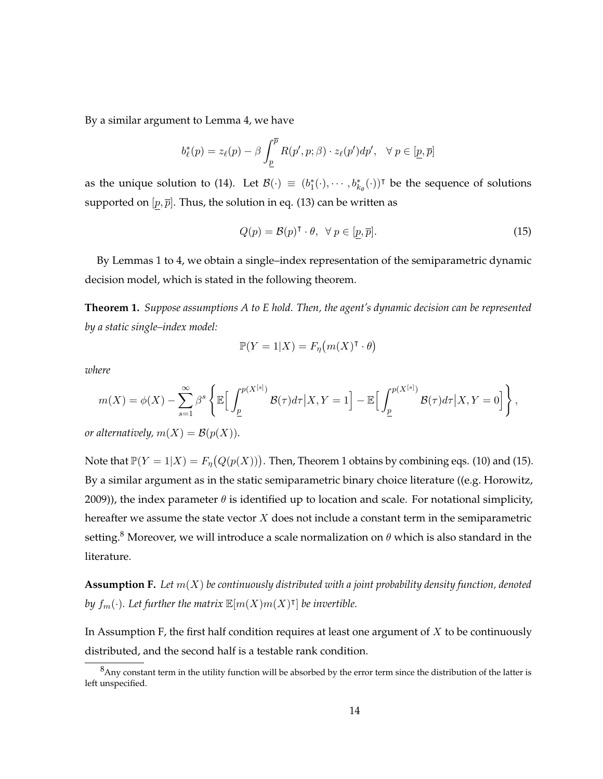By a similar argument to Lemma [4,](#page-12-3) we have

$$
b_{\ell}^{*}(p) = z_{\ell}(p) - \beta \int_{\underline{p}}^{\overline{p}} R(p', p; \beta) \cdot z_{\ell}(p') dp', \quad \forall p \in [\underline{p}, \overline{p}]
$$

as the unique solution to [\(14\)](#page-12-4). Let  $\mathcal{B}(\cdot) \equiv (b_1^*(\cdot), \cdots, b_{k_\theta}^*(\cdot))^{\dagger}$  be the sequence of solutions supported on  $[p, \overline{p}]$ . Thus, the solution in eq. [\(13\)](#page-12-2) can be written as

<span id="page-13-1"></span>
$$
Q(p) = \mathcal{B}(p)^{\mathsf{T}} \cdot \theta, \ \forall \, p \in [p, \overline{p}]. \tag{15}
$$

By Lemmas [1](#page-9-3) to [4,](#page-12-3) we obtain a single–index representation of the semiparametric dynamic decision model, which is stated in the following theorem.

<span id="page-13-0"></span>**Theorem 1.** *Suppose assumptions [A](#page-8-0) to [E](#page-12-0) hold. Then, the agent's dynamic decision can be represented by a static single–index model:*

$$
\mathbb{P}(Y=1|X) = F_{\eta}(m(X)^{\mathsf{T}} \cdot \theta)
$$

*where*

$$
m(X) = \phi(X) - \sum_{s=1}^{\infty} \beta^s \left\{ \mathbb{E} \Big[ \int_{\underline{p}}^{p(X^{[s]})} \mathcal{B}(\tau) d\tau \Big| X, Y = 1 \Big] - \mathbb{E} \Big[ \int_{\underline{p}}^{p(X^{[s]})} \mathcal{B}(\tau) d\tau \Big| X, Y = 0 \Big] \right\},
$$

*or alternatively,*  $m(X) = B(p(X))$ *.* 

Note that  $\mathbb{P}(Y=1|X) = F_{\eta}(Q(p(X)))$ . Then, Theorem [1](#page-13-0) obtains by combining eqs. [\(10\)](#page-10-2) and [\(15\)](#page-13-1). By a similar argument as in the static semiparametric binary choice literature ((e.g. [Horowitz,](#page-24-12) [2009\)](#page-24-12)), the index parameter  $\theta$  is identified up to location and scale. For notational simplicity, hereafter we assume the state vector  $X$  does not include a constant term in the semiparametric setting.<sup>8</sup> Moreover, we will introduce a scale normalization on  $\theta$  which is also standard in the literature.

<span id="page-13-2"></span>**Assumption F.** *Let* m(X) *be continuously distributed with a joint probability density function, denoted* by  $f_m(\cdot)$ . Let further the matrix  $\mathbb{E}[m(X)m(X)^{\intercal}]$  be invertible.

In Assumption [F,](#page-13-2) the first half condition requires at least one argument of  $X$  to be continuously distributed, and the second half is a testable rank condition.

 $8$ Any constant term in the utility function will be absorbed by the error term since the distribution of the latter is left unspecified.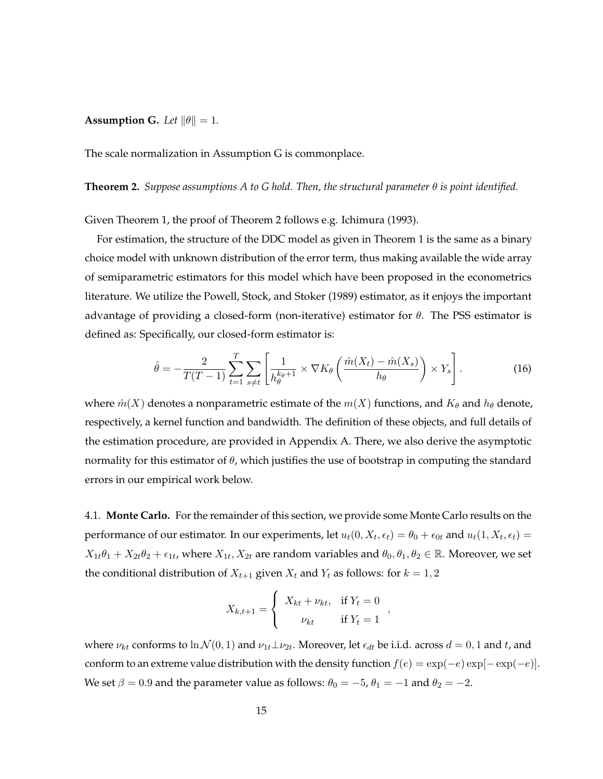# <span id="page-14-0"></span>**Assumption G.** *Let*  $\|\theta\| = 1$ *.*

The scale normalization in Assumption [G](#page-14-0) is commonplace.

# <span id="page-14-1"></span>**Theorem 2.** *Suppose assumptions [A](#page-8-0) to [G](#page-14-0) hold. Then, the structural parameter* θ *is point identified.*

Given Theorem [1,](#page-13-0) the proof of Theorem [2](#page-14-1) follows e.g. [Ichimura](#page-24-13) [\(1993\)](#page-24-13).

For estimation, the structure of the DDC model as given in Theorem 1 is the same as a binary choice model with unknown distribution of the error term, thus making available the wide array of semiparametric estimators for this model which have been proposed in the econometrics literature. We utilize the [Powell, Stock, and Stoker](#page-25-4) [\(1989\)](#page-25-4) estimator, as it enjoys the important advantage of providing a closed-form (non-iterative) estimator for  $\theta$ . The PSS estimator is defined as: Specifically, our closed-form estimator is:

<span id="page-14-2"></span>
$$
\hat{\theta} = -\frac{2}{T(T-1)} \sum_{t=1}^{T} \sum_{s \neq t} \left[ \frac{1}{h_{\theta}^{k_{\theta}+1}} \times \nabla K_{\theta} \left( \frac{\hat{m}(X_t) - \hat{m}(X_s)}{h_{\theta}} \right) \times Y_s \right].
$$
 (16)

where  $\hat{m}(X)$  denotes a nonparametric estimate of the  $m(X)$  functions, and  $K_{\theta}$  and  $h_{\theta}$  denote, respectively, a kernel function and bandwidth. The definition of these objects, and full details of the estimation procedure, are provided in Appendix A. There, we also derive the asymptotic normality for this estimator of  $\theta$ , which justifies the use of bootstrap in computing the standard errors in our empirical work below.

4.1. **Monte Carlo.** For the remainder of this section, we provide some Monte Carlo results on the performance of our estimator. In our experiments, let  $u_t(0, X_t, \epsilon_t) = \theta_0 + \epsilon_{0t}$  and  $u_t(1, X_t, \epsilon_t) =$  $X_{1t}\theta_1+X_{2t}\theta_2+\epsilon_{1t}$ , where  $X_{1t}, X_{2t}$  are random variables and  $\theta_0, \theta_1, \theta_2 \in \mathbb{R}$ . Moreover, we set the conditional distribution of  $X_{t+1}$  given  $X_t$  and  $Y_t$  as follows: for  $k = 1, 2$ 

$$
X_{k,t+1} = \begin{cases} X_{kt} + \nu_{kt}, & \text{if } Y_t = 0 \\ \nu_{kt} & \text{if } Y_t = 1 \end{cases}
$$

where  $\nu_{kt}$  conforms to  $\ln \mathcal{N}(0,1)$  and  $\nu_{1t}\perp \nu_{2t}$ . Moreover, let  $\epsilon_{dt}$  be i.i.d. across  $d=0,1$  and t, and conform to an extreme value distribution with the density function  $f(e) = \exp(-e) \exp[-\exp(-e)].$ We set  $\beta = 0.9$  and the parameter value as follows:  $\theta_0 = -5$ ,  $\theta_1 = -1$  and  $\theta_2 = -2$ .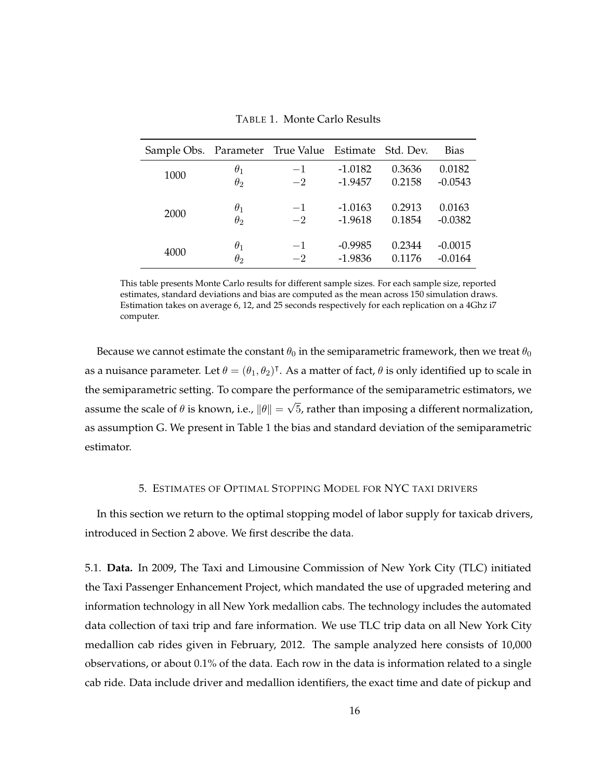<span id="page-15-0"></span>

| Sample Obs. Parameter True Value Estimate Std. Dev. |                       |      |           |        | Bias      |
|-----------------------------------------------------|-----------------------|------|-----------|--------|-----------|
| 1000                                                | $\theta_1$            | $-1$ | $-1.0182$ | 0.3636 | 0.0182    |
|                                                     | $\theta$ <sub>2</sub> | $-2$ | $-1.9457$ | 0.2158 | $-0.0543$ |
| 2000                                                | $\theta_1$            | $-1$ | $-1.0163$ | 0.2913 | 0.0163    |
|                                                     | $\theta_2$            | $-2$ | $-1.9618$ | 0.1854 | $-0.0382$ |
| 4000                                                | $\theta_1$            | $-1$ | $-0.9985$ | 0.2344 | $-0.0015$ |
|                                                     | $\theta$ <sub>2</sub> | $-2$ | $-1.9836$ | 0.1176 | $-0.0164$ |

TABLE 1. Monte Carlo Results

This table presents Monte Carlo results for different sample sizes. For each sample size, reported estimates, standard deviations and bias are computed as the mean across 150 simulation draws. Estimation takes on average 6, 12, and 25 seconds respectively for each replication on a 4Ghz i7 computer.

Because we cannot estimate the constant  $\theta_0$  in the semiparametric framework, then we treat  $\theta_0$ as a nuisance parameter. Let  $\theta = (\theta_1, \theta_2)^{\intercal}$ . As a matter of fact,  $\theta$  is only identified up to scale in the semiparametric setting. To compare the performance of the semiparametric estimators, we assume the scale of  $\theta$  is known, i.e.,  $\|\theta\| =$ √ 5, rather than imposing a different normalization, as assumption [G.](#page-14-0) We present in Table [1](#page-15-0) the bias and standard deviation of the semiparametric estimator.

# 5. ESTIMATES OF OPTIMAL STOPPING MODEL FOR NYC TAXI DRIVERS

In this section we return to the optimal stopping model of labor supply for taxicab drivers, introduced in Section 2 above. We first describe the data.

5.1. **Data.** In 2009, The Taxi and Limousine Commission of New York City (TLC) initiated the Taxi Passenger Enhancement Project, which mandated the use of upgraded metering and information technology in all New York medallion cabs. The technology includes the automated data collection of taxi trip and fare information. We use TLC trip data on all New York City medallion cab rides given in February, 2012. The sample analyzed here consists of 10,000 observations, or about 0.1% of the data. Each row in the data is information related to a single cab ride. Data include driver and medallion identifiers, the exact time and date of pickup and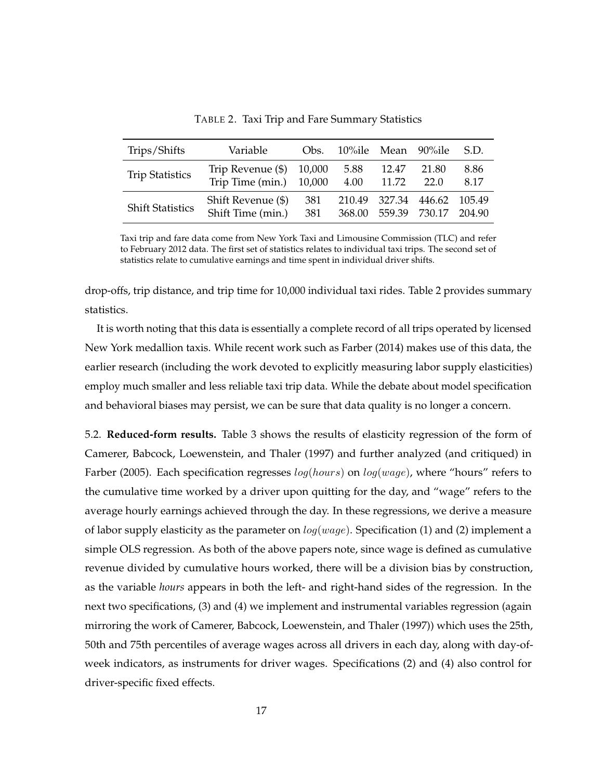<span id="page-16-0"></span>

| Trips/Shifts            | Variable                                       | Obs.       | 10%ile Mean 90%ile |                      |                             | S.D.         |
|-------------------------|------------------------------------------------|------------|--------------------|----------------------|-----------------------------|--------------|
| <b>Trip Statistics</b>  | Trip Revenue $(\$)$ 10,000<br>Trip Time (min.) | 10,000     | 5.88<br>4.00       | 12.47<br>11.72       | 21.80<br>22.0               | 8.86<br>8.17 |
| <b>Shift Statistics</b> | Shift Revenue (\$)<br>Shift Time (min.)        | 381<br>381 |                    | 368.00 559.39 730.17 | 210.49 327.34 446.62 105.49 | 204.90       |

TABLE 2. Taxi Trip and Fare Summary Statistics

Taxi trip and fare data come from New York Taxi and Limousine Commission (TLC) and refer to February 2012 data. The first set of statistics relates to individual taxi trips. The second set of statistics relate to cumulative earnings and time spent in individual driver shifts.

drop-offs, trip distance, and trip time for 10,000 individual taxi rides. Table [2](#page-16-0) provides summary statistics.

It is worth noting that this data is essentially a complete record of all trips operated by licensed New York medallion taxis. While recent work such as [Farber](#page-23-3) [\(2014\)](#page-23-3) makes use of this data, the earlier research (including the work devoted to explicitly measuring labor supply elasticities) employ much smaller and less reliable taxi trip data. While the debate about model specification and behavioral biases may persist, we can be sure that data quality is no longer a concern.

5.2. **Reduced-form results.** Table [3](#page-17-0) shows the results of elasticity regression of the form of [Camerer, Babcock, Loewenstein, and Thaler](#page-23-0) [\(1997\)](#page-23-0) and further analyzed (and critiqued) in [Farber](#page-23-1) [\(2005\)](#page-23-1). Each specification regresses  $log(hours)$  on  $log(wage)$ , where "hours" refers to the cumulative time worked by a driver upon quitting for the day, and "wage" refers to the average hourly earnings achieved through the day. In these regressions, we derive a measure of labor supply elasticity as the parameter on  $log(wage)$ . Specification (1) and (2) implement a simple OLS regression. As both of the above papers note, since wage is defined as cumulative revenue divided by cumulative hours worked, there will be a division bias by construction, as the variable *hours* appears in both the left- and right-hand sides of the regression. In the next two specifications, (3) and (4) we implement and instrumental variables regression (again mirroring the work of [Camerer, Babcock, Loewenstein, and Thaler](#page-23-0) [\(1997\)](#page-23-0)) which uses the 25th, 50th and 75th percentiles of average wages across all drivers in each day, along with day-ofweek indicators, as instruments for driver wages. Specifications (2) and (4) also control for driver-specific fixed effects.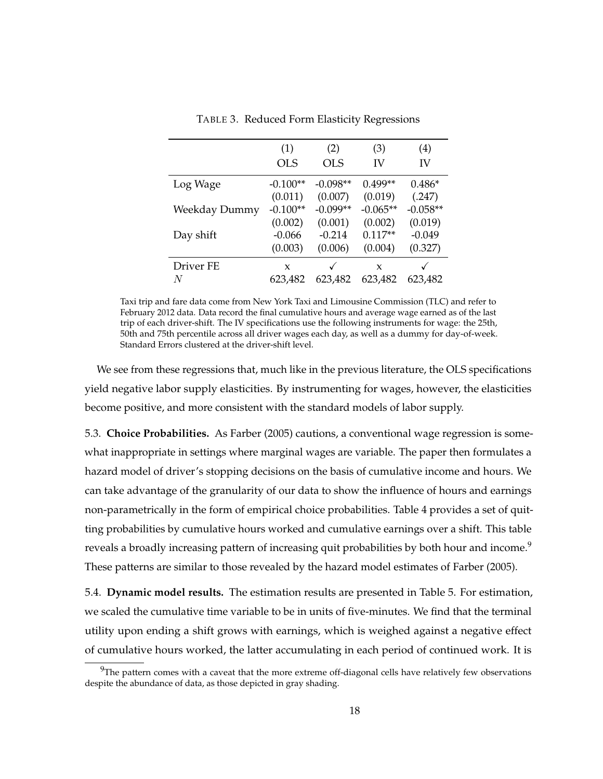<span id="page-17-0"></span>

|               | (1)        | (2)        | (3)        | (4)        |
|---------------|------------|------------|------------|------------|
|               | OLS        | <b>OLS</b> | IV         | IV         |
| Log Wage      | $-0.100**$ | $-0.098**$ | $0.499**$  | $0.486*$   |
|               | (0.011)    | (0.007)    | (0.019)    | (.247)     |
| Weekday Dummy | $-0.100**$ | $-0.099**$ | $-0.065**$ | $-0.058**$ |
|               | (0.002)    | (0.001)    | (0.002)    | (0.019)    |
| Day shift     | $-0.066$   | $-0.214$   | $0.117**$  | $-0.049$   |
|               | (0.003)    | (0.006)    | (0.004)    | (0.327)    |
| Driver FE     | X          | √          | X          |            |
| N             | 623,482    | 623,482    | 623,482    | 623,482    |

TABLE 3. Reduced Form Elasticity Regressions

Taxi trip and fare data come from New York Taxi and Limousine Commission (TLC) and refer to February 2012 data. Data record the final cumulative hours and average wage earned as of the last trip of each driver-shift. The IV specifications use the following instruments for wage: the 25th, 50th and 75th percentile across all driver wages each day, as well as a dummy for day-of-week. Standard Errors clustered at the driver-shift level.

We see from these regressions that, much like in the previous literature, the OLS specifications yield negative labor supply elasticities. By instrumenting for wages, however, the elasticities become positive, and more consistent with the standard models of labor supply.

5.3. **Choice Probabilities.** As [Farber](#page-23-1) [\(2005\)](#page-23-1) cautions, a conventional wage regression is somewhat inappropriate in settings where marginal wages are variable. The paper then formulates a hazard model of driver's stopping decisions on the basis of cumulative income and hours. We can take advantage of the granularity of our data to show the influence of hours and earnings non-parametrically in the form of empirical choice probabilities. Table [4](#page-18-0) provides a set of quitting probabilities by cumulative hours worked and cumulative earnings over a shift. This table reveals a broadly increasing pattern of increasing quit probabilities by both hour and income.<sup>9</sup> These patterns are similar to those revealed by the hazard model estimates of [Farber](#page-23-1) [\(2005\)](#page-23-1).

5.4. **Dynamic model results.** The estimation results are presented in Table [5.](#page-19-0) For estimation, we scaled the cumulative time variable to be in units of five-minutes. We find that the terminal utility upon ending a shift grows with earnings, which is weighed against a negative effect of cumulative hours worked, the latter accumulating in each period of continued work. It is

 $^{9}$ The pattern comes with a caveat that the more extreme off-diagonal cells have relatively few observations despite the abundance of data, as those depicted in gray shading.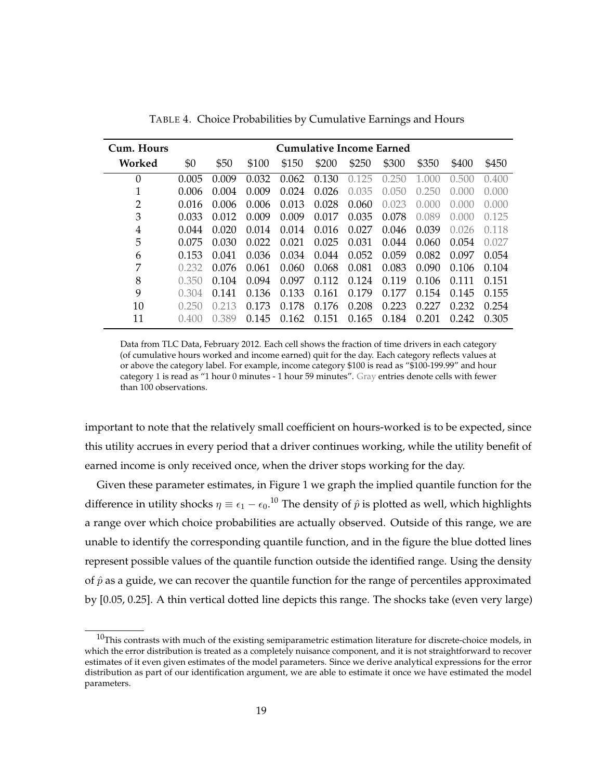<span id="page-18-0"></span>

| Cum. Hours       | Cumulative Income Earned |       |       |       |       |                           |       |           |                       |       |
|------------------|--------------------------|-------|-------|-------|-------|---------------------------|-------|-----------|-----------------------|-------|
| Worked           | \$0                      | \$50  | \$100 | \$150 | \$200 | \$250                     | \$300 | \$350     | \$400                 | \$450 |
| $\boldsymbol{0}$ | 0.005                    | 0.009 | 0.032 | 0.062 | 0.130 | 125<br>$\left( \right)$ . | 0.250 | 1.000     | 0.500                 | 0.400 |
| 1                | 0.006                    | 0.004 | 0.009 | 0.024 | 0.026 | 0.035                     | 0.050 | 0.250     | $( )_{.} ( ) ( ) ( )$ | 0.000 |
| $\overline{2}$   | 0.016                    | 0.006 | 0.006 | 0.013 | 0.028 | 0.060                     | 0.023 | (1)(1)(1) | 0.000                 | 0.000 |
| 3                | 0.033                    | 0.012 | 0.009 | 0.009 | 0.017 | 0.035                     | 0.078 | 0.089     | $( )_{.} ( ) ( ) ( )$ | 0.125 |
| 4                | 0.044                    | 0.020 | 0.014 | 0.014 | 0.016 | 0.027                     | 0.046 | 0.039     | 0.026                 | 0.118 |
| 5                | 0.075                    | 0.030 | 0.022 | 0.021 | 0.025 | 0.031                     | 0.044 | 0.060     | 0.054                 | 0.027 |
| 6                | 0.153                    | 0.041 | 0.036 | 0.034 | 0.044 | 0.052                     | 0.059 | 0.082     | 0.097                 | 0.054 |
| 7                | 0.232                    | 0.076 | 0.061 | 0.060 | 0.068 | 0.081                     | 0.083 | 0.090     | 0.106                 | 0.104 |
| 8                | 0.350                    | 0.104 | 0.094 | 0.097 | 0.112 | 0.124                     | 0.119 | 0.106     | 0.111                 | 0.151 |
| 9                | 0.304                    | 0.141 | 0.136 | 0.133 | 0.161 | 0.179                     | 0.177 | 0.154     | 0.145                 | 0.155 |
| 10               | 0.250                    | 0.213 | 0.173 | 0.178 | 0.176 | 0.208                     | 0.223 | 0.227     | 0.232                 | 0.254 |
| 11               | 0.400                    | 0.389 | 0.145 | 0.162 | 0.151 | 0.165                     | 0.184 | 0.201     | 0.242                 | 0.305 |

TABLE 4. Choice Probabilities by Cumulative Earnings and Hours

Data from TLC Data, February 2012. Each cell shows the fraction of time drivers in each category (of cumulative hours worked and income earned) quit for the day. Each category reflects values at or above the category label. For example, income category \$100 is read as "\$100-199.99" and hour category 1 is read as "1 hour 0 minutes - 1 hour 59 minutes". Gray entries denote cells with fewer than 100 observations.

important to note that the relatively small coefficient on hours-worked is to be expected, since this utility accrues in every period that a driver continues working, while the utility benefit of earned income is only received once, when the driver stops working for the day.

Given these parameter estimates, in Figure [1](#page-20-0) we graph the implied quantile function for the difference in utility shocks  $\eta\equiv \epsilon_1-\epsilon_0. ^{10}$  The density of  $\hat{p}$  is plotted as well, which highlights a range over which choice probabilities are actually observed. Outside of this range, we are unable to identify the corresponding quantile function, and in the figure the blue dotted lines represent possible values of the quantile function outside the identified range. Using the density of  $\hat{p}$  as a guide, we can recover the quantile function for the range of percentiles approximated by [0.05, 0.25]. A thin vertical dotted line depicts this range. The shocks take (even very large)

 $10$ This contrasts with much of the existing semiparametric estimation literature for discrete-choice models, in which the error distribution is treated as a completely nuisance component, and it is not straightforward to recover estimates of it even given estimates of the model parameters. Since we derive analytical expressions for the error distribution as part of our identification argument, we are able to estimate it once we have estimated the model parameters.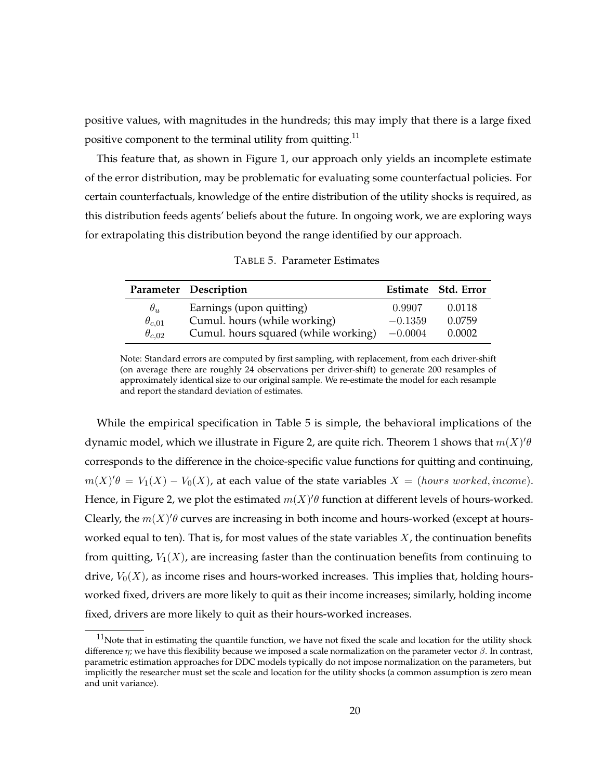positive values, with magnitudes in the hundreds; this may imply that there is a large fixed positive component to the terminal utility from quitting.<sup>11</sup>

This feature that, as shown in Figure [1,](#page-20-0) our approach only yields an incomplete estimate of the error distribution, may be problematic for evaluating some counterfactual policies. For certain counterfactuals, knowledge of the entire distribution of the utility shocks is required, as this distribution feeds agents' beliefs about the future. In ongoing work, we are exploring ways for extrapolating this distribution beyond the range identified by our approach.

<span id="page-19-0"></span>

|                 | Parameter Description                |           | Estimate Std. Error |
|-----------------|--------------------------------------|-----------|---------------------|
| $\theta_u$      | Earnings (upon quitting)             | 0.9907    | 0.0118              |
| $\theta_{c,01}$ | Cumul. hours (while working)         | $-0.1359$ | 0.0759              |
| $\theta_{c,02}$ | Cumul. hours squared (while working) | $-0.0004$ | 0.0002              |

TABLE 5. Parameter Estimates

Note: Standard errors are computed by first sampling, with replacement, from each driver-shift (on average there are roughly 24 observations per driver-shift) to generate 200 resamples of approximately identical size to our original sample. We re-estimate the model for each resample and report the standard deviation of estimates.

While the empirical specification in Table [5](#page-19-0) is simple, the behavioral implications of the dynamic model, which we illustrate in Figure [2,](#page-21-0) are quite rich. Theorem [1](#page-13-0) shows that  $m(X)^{\prime}\theta$ corresponds to the difference in the choice-specific value functions for quitting and continuing,  $m(X)'\theta = V_1(X) - V_0(X)$ , at each value of the state variables  $X = (hours\ worked, income)$ . Hence, in Figure [2,](#page-21-0) we plot the estimated  $m(X)$ ' $\theta$  function at different levels of hours-worked. Clearly, the  $m(X)$ ' $\theta$  curves are increasing in both income and hours-worked (except at hoursworked equal to ten). That is, for most values of the state variables  $X$ , the continuation benefits from quitting,  $V_1(X)$ , are increasing faster than the continuation benefits from continuing to drive,  $V_0(X)$ , as income rises and hours-worked increases. This implies that, holding hoursworked fixed, drivers are more likely to quit as their income increases; similarly, holding income fixed, drivers are more likely to quit as their hours-worked increases.

 $11$ Note that in estimating the quantile function, we have not fixed the scale and location for the utility shock difference  $\eta$ ; we have this flexibility because we imposed a scale normalization on the parameter vector  $\beta$ . In contrast, parametric estimation approaches for DDC models typically do not impose normalization on the parameters, but implicitly the researcher must set the scale and location for the utility shocks (a common assumption is zero mean and unit variance).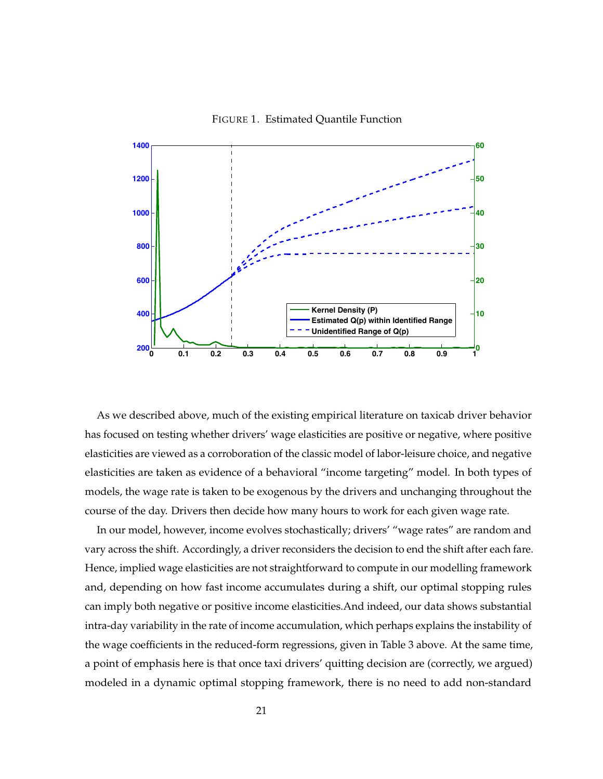FIGURE 1. Estimated Quantile Function

<span id="page-20-0"></span>

*Student Version of MATLAB* models, the wage rate is taken to be exogenous by the drivers and unchanging throughout the As we described above, much of the existing empirical literature on taxicab driver behavior has focused on testing whether drivers' wage elasticities are positive or negative, where positive elasticities are viewed as a corroboration of the classic model of labor-leisure choice, and negative elasticities are taken as evidence of a behavioral "income targeting" model. In both types of course of the day. Drivers then decide how many hours to work for each given wage rate.

In our model, however, income evolves stochastically; drivers' "wage rates" are random and vary across the shift. Accordingly, a driver reconsiders the decision to end the shift after each fare. Hence, implied wage elasticities are not straightforward to compute in our modelling framework and, depending on how fast income accumulates during a shift, our optimal stopping rules can imply both negative or positive income elasticities.And indeed, our data shows substantial intra-day variability in the rate of income accumulation, which perhaps explains the instability of the wage coefficients in the reduced-form regressions, given in Table [3](#page-17-0) above. At the same time, a point of emphasis here is that once taxi drivers' quitting decision are (correctly, we argued) modeled in a dynamic optimal stopping framework, there is no need to add non-standard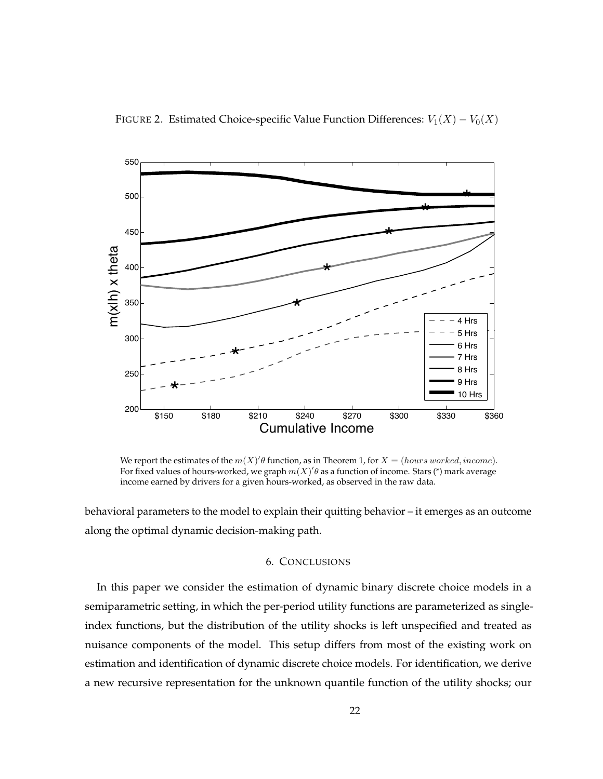<span id="page-21-0"></span>

We report the estimates of the  $m(X)$ ' $\theta$  function, as in Theorem [1,](#page-13-0) for  $X = (hours\ worked, income)$ . For fixed values of hours-worked, we graph  $m(X)^{\prime}\theta$  as a function of income. Stars (\*) mark average income earned by drivers for a given hours-worked, as observed in the raw data.

behavioral parameters to the model to explain their quitting behavior – it emerges as an outcome along the optimal dynamic decision-making path.

# 6. CONCLUSIONS

semiparametric setting, in which the per-period utility functions are parameterized as single-In this paper we consider the estimation of dynamic binary discrete choice models in a index functions, but the distribution of the utility shocks is left unspecified and treated as nuisance components of the model. This setup differs from most of the existing work on estimation and identification of dynamic discrete choice models. For identification, we derive a new recursive representation for the unknown quantile function of the utility shocks; our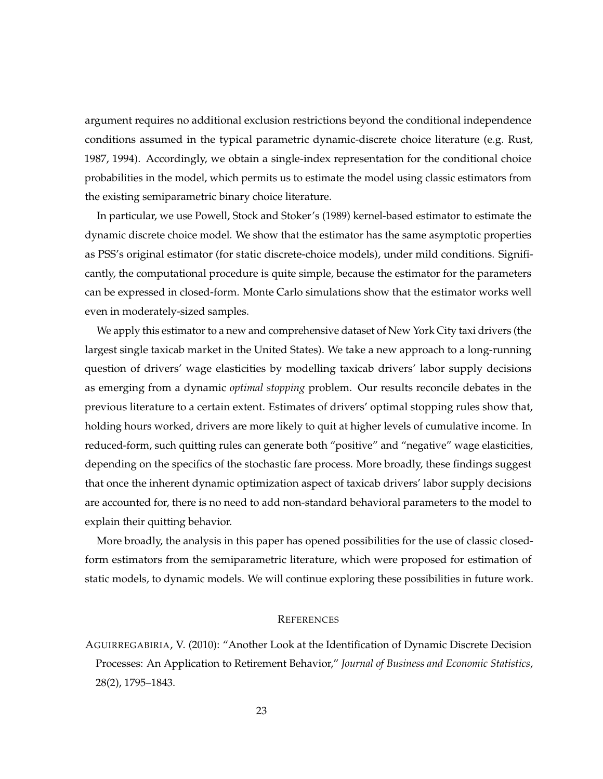argument requires no additional exclusion restrictions beyond the conditional independence conditions assumed in the typical parametric dynamic-discrete choice literature (e.g. [Rust,](#page-25-2) [1987,](#page-25-2) [1994\)](#page-25-3). Accordingly, we obtain a single-index representation for the conditional choice probabilities in the model, which permits us to estimate the model using classic estimators from the existing semiparametric binary choice literature.

In particular, we use Powell, Stock and Stoker's [\(1989\)](#page-25-4) kernel-based estimator to estimate the dynamic discrete choice model. We show that the estimator has the same asymptotic properties as PSS's original estimator (for static discrete-choice models), under mild conditions. Significantly, the computational procedure is quite simple, because the estimator for the parameters can be expressed in closed-form. Monte Carlo simulations show that the estimator works well even in moderately-sized samples.

We apply this estimator to a new and comprehensive dataset of New York City taxi drivers (the largest single taxicab market in the United States). We take a new approach to a long-running question of drivers' wage elasticities by modelling taxicab drivers' labor supply decisions as emerging from a dynamic *optimal stopping* problem. Our results reconcile debates in the previous literature to a certain extent. Estimates of drivers' optimal stopping rules show that, holding hours worked, drivers are more likely to quit at higher levels of cumulative income. In reduced-form, such quitting rules can generate both "positive" and "negative" wage elasticities, depending on the specifics of the stochastic fare process. More broadly, these findings suggest that once the inherent dynamic optimization aspect of taxicab drivers' labor supply decisions are accounted for, there is no need to add non-standard behavioral parameters to the model to explain their quitting behavior.

More broadly, the analysis in this paper has opened possibilities for the use of classic closedform estimators from the semiparametric literature, which were proposed for estimation of static models, to dynamic models. We will continue exploring these possibilities in future work.

# **REFERENCES**

<span id="page-22-0"></span>AGUIRREGABIRIA, V. (2010): "Another Look at the Identification of Dynamic Discrete Decision Processes: An Application to Retirement Behavior," *Journal of Business and Economic Statistics*, 28(2), 1795–1843.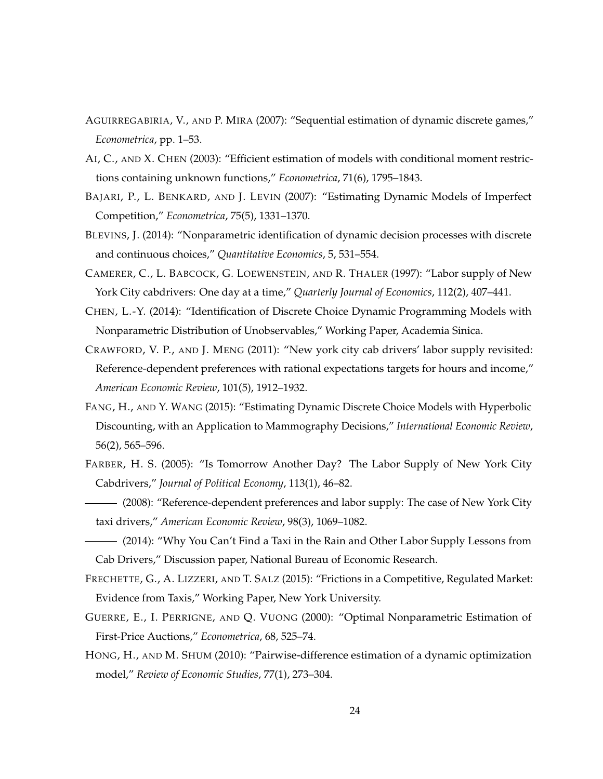- <span id="page-23-11"></span>AGUIRREGABIRIA, V., AND P. MIRA (2007): "Sequential estimation of dynamic discrete games," *Econometrica*, pp. 1–53.
- <span id="page-23-13"></span>AI, C., AND X. CHEN (2003): "Efficient estimation of models with conditional moment restrictions containing unknown functions," *Econometrica*, 71(6), 1795–1843.
- <span id="page-23-9"></span>BAJARI, P., L. BENKARD, AND J. LEVIN (2007): "Estimating Dynamic Models of Imperfect Competition," *Econometrica*, 75(5), 1331–1370.
- <span id="page-23-8"></span>BLEVINS, J. (2014): "Nonparametric identification of dynamic decision processes with discrete and continuous choices," *Quantitative Economics*, 5, 531–554.
- <span id="page-23-0"></span>CAMERER, C., L. BABCOCK, G. LOEWENSTEIN, AND R. THALER (1997): "Labor supply of New York City cabdrivers: One day at a time," *Quarterly Journal of Economics*, 112(2), 407–441.
- <span id="page-23-7"></span>CHEN, L.-Y. (2014): "Identification of Discrete Choice Dynamic Programming Models with Nonparametric Distribution of Unobservables," Working Paper, Academia Sinica.
- <span id="page-23-4"></span>CRAWFORD, V. P., AND J. MENG (2011): "New york city cab drivers' labor supply revisited: Reference-dependent preferences with rational expectations targets for hours and income," *American Economic Review*, 101(5), 1912–1932.
- <span id="page-23-6"></span>FANG, H., AND Y. WANG (2015): "Estimating Dynamic Discrete Choice Models with Hyperbolic Discounting, with an Application to Mammography Decisions," *International Economic Review*, 56(2), 565–596.
- <span id="page-23-1"></span>FARBER, H. S. (2005): "Is Tomorrow Another Day? The Labor Supply of New York City Cabdrivers," *Journal of Political Economy*, 113(1), 46–82.
- <span id="page-23-2"></span>(2008): "Reference-dependent preferences and labor supply: The case of New York City taxi drivers," *American Economic Review*, 98(3), 1069–1082.
- <span id="page-23-3"></span>(2014): "Why You Can't Find a Taxi in the Rain and Other Labor Supply Lessons from Cab Drivers," Discussion paper, National Bureau of Economic Research.
- <span id="page-23-5"></span>FRECHETTE, G., A. LIZZERI, AND T. SALZ (2015): "Frictions in a Competitive, Regulated Market: Evidence from Taxis," Working Paper, New York University.
- <span id="page-23-12"></span>GUERRE, E., I. PERRIGNE, AND Q. VUONG (2000): "Optimal Nonparametric Estimation of First-Price Auctions," *Econometrica*, 68, 525–74.
- <span id="page-23-10"></span>HONG, H., AND M. SHUM (2010): "Pairwise-difference estimation of a dynamic optimization model," *Review of Economic Studies*, 77(1), 273–304.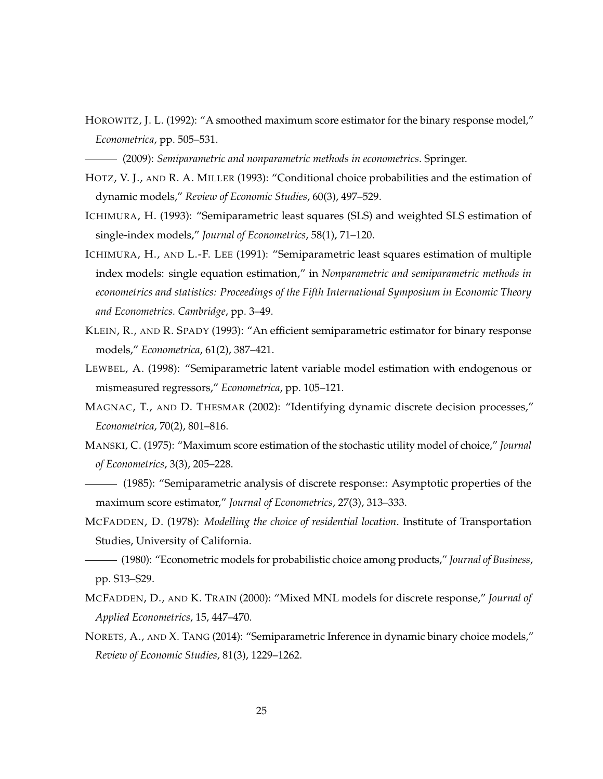<span id="page-24-8"></span>HOROWITZ, J. L. (1992): "A smoothed maximum score estimator for the binary response model," *Econometrica*, pp. 505–531.

<span id="page-24-12"></span>(2009): *Semiparametric and nonparametric methods in econometrics*. Springer.

- <span id="page-24-11"></span>HOTZ, V. J., AND R. A. MILLER (1993): "Conditional choice probabilities and the estimation of dynamic models," *Review of Economic Studies*, 60(3), 497–529.
- <span id="page-24-13"></span>ICHIMURA, H. (1993): "Semiparametric least squares (SLS) and weighted SLS estimation of single-index models," *Journal of Econometrics*, 58(1), 71–120.
- <span id="page-24-7"></span>ICHIMURA, H., AND L.-F. LEE (1991): "Semiparametric least squares estimation of multiple index models: single equation estimation," in *Nonparametric and semiparametric methods in econometrics and statistics: Proceedings of the Fifth International Symposium in Economic Theory and Econometrics. Cambridge*, pp. 3–49.
- <span id="page-24-9"></span>KLEIN, R., AND R. SPADY (1993): "An efficient semiparametric estimator for binary response models," *Econometrica*, 61(2), 387–421.
- <span id="page-24-10"></span>LEWBEL, A. (1998): "Semiparametric latent variable model estimation with endogenous or mismeasured regressors," *Econometrica*, pp. 105–121.
- <span id="page-24-3"></span>MAGNAC, T., AND D. THESMAR (2002): "Identifying dynamic discrete decision processes," *Econometrica*, 70(2), 801–816.
- <span id="page-24-5"></span>MANSKI, C. (1975): "Maximum score estimation of the stochastic utility model of choice," *Journal of Econometrics*, 3(3), 205–228.
- <span id="page-24-6"></span>(1985): "Semiparametric analysis of discrete response:: Asymptotic properties of the maximum score estimator," *Journal of Econometrics*, 27(3), 313–333.
- <span id="page-24-0"></span>MCFADDEN, D. (1978): *Modelling the choice of residential location*. Institute of Transportation Studies, University of California.
- <span id="page-24-1"></span>(1980): "Econometric models for probabilistic choice among products," *Journal of Business*, pp. S13–S29.
- <span id="page-24-4"></span>MCFADDEN, D., AND K. TRAIN (2000): "Mixed MNL models for discrete response," *Journal of Applied Econometrics*, 15, 447–470.
- <span id="page-24-2"></span>NORETS, A., AND X. TANG (2014): "Semiparametric Inference in dynamic binary choice models," *Review of Economic Studies*, 81(3), 1229–1262.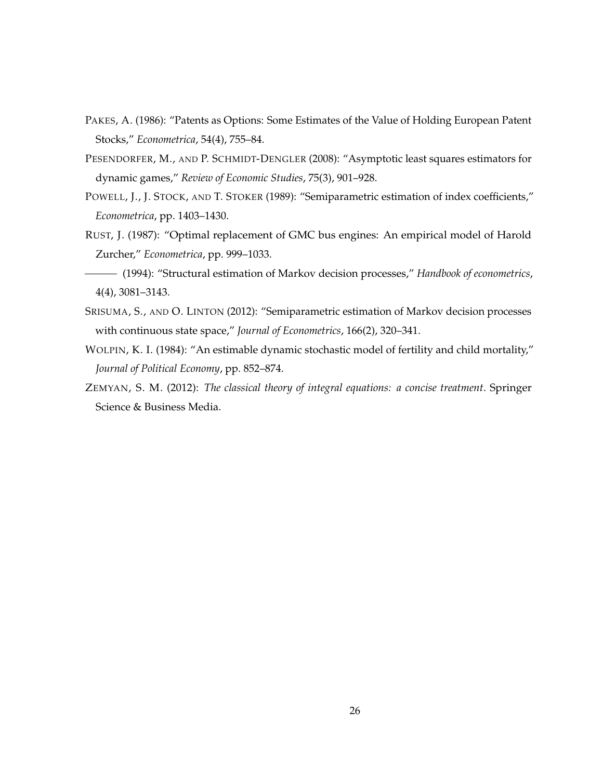- <span id="page-25-1"></span>PAKES, A. (1986): "Patents as Options: Some Estimates of the Value of Holding European Patent Stocks," *Econometrica*, 54(4), 755–84.
- <span id="page-25-7"></span>PESENDORFER, M., AND P. SCHMIDT-DENGLER (2008): "Asymptotic least squares estimators for dynamic games," *Review of Economic Studies*, 75(3), 901–928.
- <span id="page-25-4"></span>POWELL, J., J. STOCK, AND T. STOKER (1989): "Semiparametric estimation of index coefficients," *Econometrica*, pp. 1403–1430.
- <span id="page-25-2"></span>RUST, J. (1987): "Optimal replacement of GMC bus engines: An empirical model of Harold Zurcher," *Econometrica*, pp. 999–1033.
- <span id="page-25-3"></span>(1994): "Structural estimation of Markov decision processes," *Handbook of econometrics*, 4(4), 3081–3143.
- <span id="page-25-6"></span>SRISUMA, S., AND O. LINTON (2012): "Semiparametric estimation of Markov decision processes with continuous state space," *Journal of Econometrics*, 166(2), 320–341.
- <span id="page-25-0"></span>WOLPIN, K. I. (1984): "An estimable dynamic stochastic model of fertility and child mortality," *Journal of Political Economy*, pp. 852–874.
- <span id="page-25-5"></span>ZEMYAN, S. M. (2012): *The classical theory of integral equations: a concise treatment*. Springer Science & Business Media.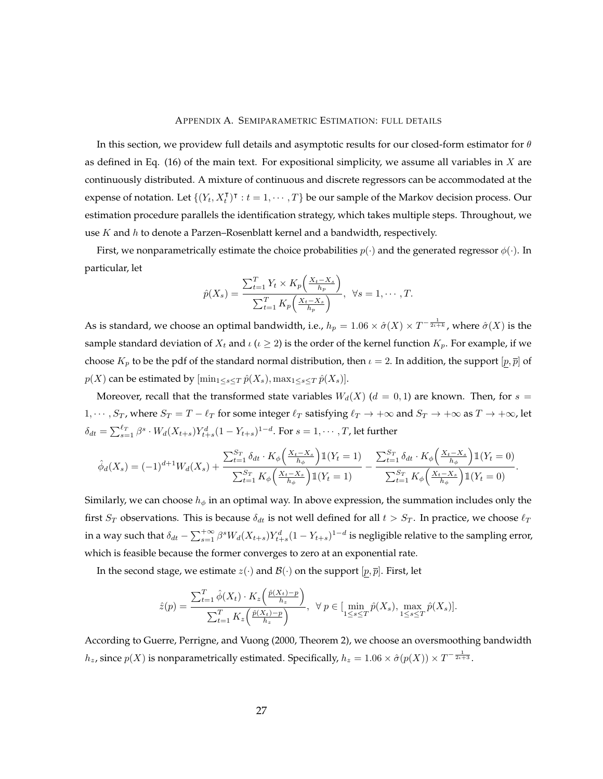#### APPENDIX A. SEMIPARAMETRIC ESTIMATION: FULL DETAILS

In this section, we providew full details and asymptotic results for our closed-form estimator for  $\theta$ as defined in Eq. [\(16\)](#page-14-2) of the main text. For expositional simplicity, we assume all variables in  $X$  are continuously distributed. A mixture of continuous and discrete regressors can be accommodated at the expense of notation. Let  $\{(Y_t, X_t^{\intercal})^{\intercal} : t = 1, \cdots, T\}$  be our sample of the Markov decision process. Our estimation procedure parallels the identification strategy, which takes multiple steps. Throughout, we use  $K$  and  $h$  to denote a Parzen–Rosenblatt kernel and a bandwidth, respectively.

First, we nonparametrically estimate the choice probabilities  $p(\cdot)$  and the generated regressor  $\phi(\cdot)$ . In particular, let

$$
\hat{p}(X_s) = \frac{\sum_{t=1}^T Y_t \times K_p\left(\frac{X_t - X_s}{h_p}\right)}{\sum_{t=1}^T K_p\left(\frac{X_t - X_s}{h_p}\right)}, \ \ \forall s = 1, \cdots, T.
$$

As is standard, we choose an optimal bandwidth, i.e.,  $h_p=1.06\times \hat{\sigma}(X)\times T^{-\frac{1}{2\iota+k}}$ , where  $\hat{\sigma}(X)$  is the sample standard deviation of  $X_t$  and  $\iota(\iota \geq 2)$  is the order of the kernel function  $K_p$ . For example, if we choose  $K_p$  to be the pdf of the standard normal distribution, then  $\iota = 2$ . In addition, the support  $[p, \overline{p}]$  of  $p(X)$  can be estimated by  $[\min_{1 \leq s \leq T} \hat{p}(X_s), \max_{1 \leq s \leq T} \hat{p}(X_s)].$ 

Moreover, recall that the transformed state variables  $W_d(X)$  ( $d = 0,1$ ) are known. Then, for  $s =$ 1,  $\cdots$ ,  $S_T$ , where  $S_T = T - \ell_T$  for some integer  $\ell_T$  satisfying  $\ell_T \to +\infty$  and  $S_T \to +\infty$  as  $T \to +\infty$ , let  $\delta_{dt}=\sum_{s=1}^{\ell_T}\beta^s\cdot W_d(X_{t+s})Y_{t+s}^d(1-Y_{t+s})^{1-d}.$  For  $s=1,\cdots,T$ , let further

$$
\hat{\phi}_d(X_s) = (-1)^{d+1} W_d(X_s) + \frac{\sum_{t=1}^{S_T} \delta_{dt} \cdot K_{\phi} \left( \frac{X_t - X_s}{h_{\phi}} \right) \mathbb{1}(Y_t = 1)}{\sum_{t=1}^{S_T} K_{\phi} \left( \frac{X_t - X_s}{h_{\phi}} \right) \mathbb{1}(Y_t = 1)} - \frac{\sum_{t=1}^{S_T} \delta_{dt} \cdot K_{\phi} \left( \frac{X_t - X_s}{h_{\phi}} \right) \mathbb{1}(Y_t = 0)}{\sum_{t=1}^{S_T} K_{\phi} \left( \frac{X_t - X_s}{h_{\phi}} \right) \mathbb{1}(Y_t = 0)}.
$$

Similarly, we can choose  $h_{\phi}$  in an optimal way. In above expression, the summation includes only the first  $S_T$  observations. This is because  $\delta_{dt}$  is not well defined for all  $t > S_T$ . In practice, we choose  $\ell_T$ in a way such that  $\delta_{dt}-\sum_{s=1}^{+\infty}\beta^sW_d(X_{t+s})Y_{t+s}^d(1-Y_{t+s})^{1-d}$  is negligible relative to the sampling error, which is feasible because the former converges to zero at an exponential rate.

In the second stage, we estimate  $z(\cdot)$  and  $\mathcal{B}(\cdot)$  on the support  $[p, \overline{p}]$ . First, let

$$
\hat{z}(p) = \frac{\sum_{t=1}^T \hat{\phi}(X_t) \cdot K_z\left(\frac{\hat{p}(X_t) - p}{h_z}\right)}{\sum_{t=1}^T K_z\left(\frac{\hat{p}(X_t) - p}{h_z}\right)}, \ \ \forall \ p \in [\min_{1 \le s \le T} \hat{p}(X_s), \max_{1 \le s \le T} \hat{p}(X_s)].
$$

According to [Guerre, Perrigne, and Vuong](#page-23-12) [\(2000,](#page-23-12) Theorem 2), we choose an oversmoothing bandwidth  $h_z$ , since  $p(X)$  is nonparametrically estimated. Specifically,  $h_z = 1.06 \times \hat{\sigma}(p(X)) \times T^{-\frac{1}{2\iota+3}}$ .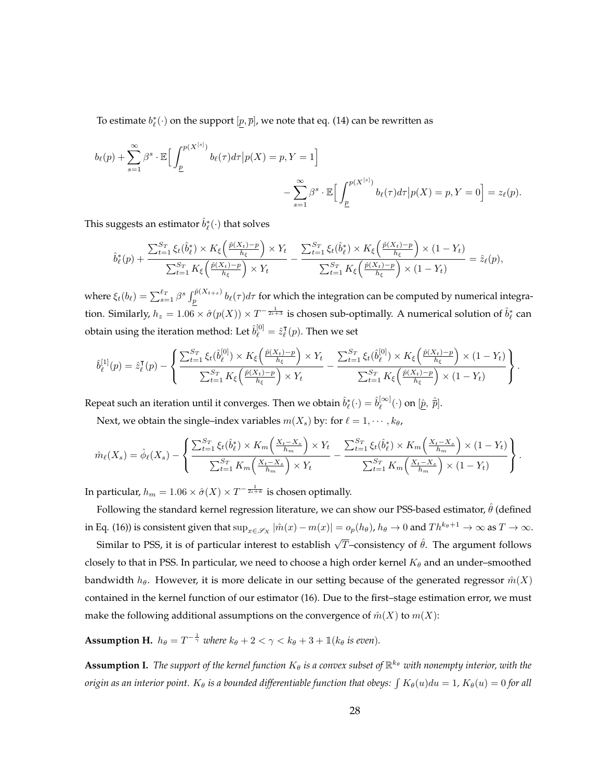To estimate  $b_{\ell}^{*}(\cdot)$  on the support  $[\underline{p},\overline{p}]$ , we note that eq. [\(14\)](#page-12-4) can be rewritten as

$$
b_{\ell}(p) + \sum_{s=1}^{\infty} \beta^s \cdot \mathbb{E} \Big[ \int_{\underline{p}}^{p(X^{[s]})} b_{\ell}(\tau) d\tau \Big| p(X) = p, Y = 1 \Big] - \sum_{s=1}^{\infty} \beta^s \cdot \mathbb{E} \Big[ \int_{\underline{p}}^{p(X^{[s]})} b_{\ell}(\tau) d\tau \Big| p(X) = p, Y = 0 \Big] = z_{\ell}(p).
$$

This suggests an estimator  $\hat{b}^*_\ell(\cdot)$  that solves

$$
\hat{b}_{\ell}^{*}(p) + \frac{\sum_{t=1}^{S_{T}} \xi_{t}(\hat{b}_{\ell}^{*}) \times K_{\xi} \left(\frac{\hat{p}(X_{t}) - p}{h_{\xi}}\right) \times Y_{t}}{\sum_{t=1}^{S_{T}} K_{\xi} \left(\frac{\hat{p}(X_{t}) - p}{h_{\xi}}\right) \times Y_{t}} - \frac{\sum_{t=1}^{S_{T}} \xi_{t}(\hat{b}_{\ell}^{*}) \times K_{\xi} \left(\frac{\hat{p}(X_{t}) - p}{h_{\xi}}\right) \times (1 - Y_{t})}{\sum_{t=1}^{S_{T}} K_{\xi} \left(\frac{\hat{p}(X_{t}) - p}{h_{\xi}}\right) \times (1 - Y_{t})} = \hat{z}_{\ell}(p),
$$

where  $\xi_t(b_\ell) = \sum_{s=1}^{\ell_T} \beta^s \int_p^{\hat{p}(X_{t+s})} b_\ell(\tau) d\tau$  for which the integration can be computed by numerical integration. Similarly,  $h_z=1.06\times\hat\sigma(p(X))\times T^{-\frac{1}{2\iota+3}}$  is chosen sub-optimally. A numerical solution of  $\hat b_\ell^*$  can obtain using the iteration method: Let  $\hat{b}^{[0]}_\ell = \hat{z}^\intercal_\ell$  $\overline{\ell}(p)$ . Then we set

$$
\hat{b}_{\ell}^{[1]}(p) = \hat{z}_{\ell}^{\mathsf{T}}(p) - \left\{ \frac{\sum_{t=1}^{S_{T}} \xi_{t}(\hat{b}_{\ell}^{[0]}) \times K_{\xi}\left(\frac{\hat{p}(X_{t}) - p}{h_{\xi}}\right) \times Y_{t}}{\sum_{t=1}^{S_{T}} K_{\xi}\left(\frac{\hat{p}(X_{t}) - p}{h_{\xi}}\right) \times Y_{t}} - \frac{\sum_{t=1}^{S_{T}} \xi_{t}(\hat{b}_{\ell}^{[0]}) \times K_{\xi}\left(\frac{\hat{p}(X_{t}) - p}{h_{\xi}}\right) \times (1 - Y_{t})}{\sum_{t=1}^{S_{T}} K_{\xi}\left(\frac{\hat{p}(X_{t}) - p}{h_{\xi}}\right) \times (1 - Y_{t})} \right\}.
$$

Repeat such an iteration until it converges. Then we obtain  $\hat{b}^*_\ell(\cdot)=\hat{b}^{[\infty]}_\ell$  $\widehat{\mathbb{R}}^{[\infty]}_{{\ell}}(\cdot)$  on  $[\hat{\underline{p}},\ \hat{\overline{p}}].$ 

Next, we obtain the single–index variables  $m(X_s)$  by: for  $\ell = 1, \cdots, k_\theta$ ,

$$
\hat{m}_{\ell}(X_s) = \hat{\phi}_{\ell}(X_s) - \left\{ \frac{\sum_{t=1}^{S_T} \xi_t(\hat{b}_{\ell}^*) \times K_m\left(\frac{X_t - X_s}{h_m}\right) \times Y_t}{\sum_{t=1}^{S_T} K_m\left(\frac{X_t - X_s}{h_m}\right) \times Y_t} - \frac{\sum_{t=1}^{S_T} \xi_t(\hat{b}_{\ell}^*) \times K_m\left(\frac{X_t - X_s}{h_m}\right) \times (1 - Y_t)}{\sum_{t=1}^{S_T} K_m\left(\frac{X_t - X_s}{h_m}\right) \times (1 - Y_t)} \right\}.
$$

In particular,  $h_m = 1.06 \times \hat{\sigma}(X) \times T^{-\frac{1}{2\iota + k}}$  is chosen optimally.

Following the standard kernel regression literature, we can show our PSS-based estimator,  $\hat{\theta}$  (defined in Eq. [\(16\)](#page-14-2)) is consistent given that  $\sup_{x\in\mathscr{S}_X}|\hat{m}(x)-m(x)|=o_p(h_\theta)$ ,  $h_\theta\to 0$  and  $Th^{k_\theta+1}\to\infty$  as  $T\to\infty$ .

Similar to PSS, it is of particular interest to establish  $\sqrt{T}$ –consistency of  $\hat{\theta}$ . The argument follows closely to that in PSS. In particular, we need to choose a high order kernel  $K_{\theta}$  and an under-smoothed bandwidth  $h_{\theta}$ . However, it is more delicate in our setting because of the generated regressor  $\hat{m}(X)$ contained in the kernel function of our estimator [\(16\)](#page-14-2). Due to the first–stage estimation error, we must make the following additional assumptions on the convergence of  $\hat{m}(X)$  to  $m(X)$ :

<span id="page-27-0"></span>**Assumption H.**  $h_{\theta} = T^{-\frac{1}{\gamma}}$  where  $k_{\theta} + 2 < \gamma < k_{\theta} + 3 + \mathbb{1}(k_{\theta} \text{ is even}).$ 

<span id="page-27-1"></span> ${\bf Assumption~I.}$  *The support of the kernel function*  $K_\theta$  *is a convex subset of*  $\mathbb{R}^{k_\theta}$  *with nonempty interior, with the*  $\sigma$ rigin as an interior point.  $K_\theta$  is a bounded differentiable function that obeys:  $\int K_\theta(u)du=1$ ,  $K_\theta(u)=0$  for all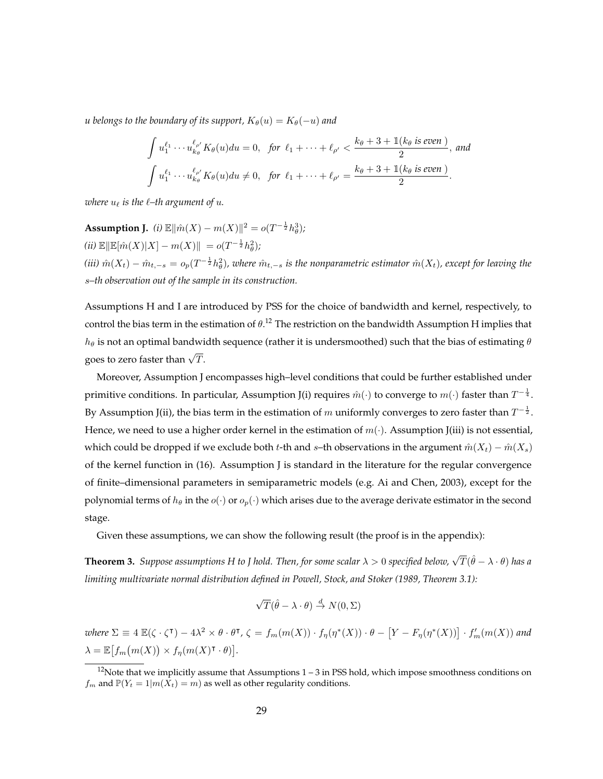*u* belongs to the boundary of its support,  $K_{\theta}(u) = K_{\theta}(-u)$  and

$$
\int u_1^{\ell_1} \cdots u_{k_\theta}^{\ell_{\rho'}} K_\theta(u) du = 0, \text{ for } \ell_1 + \cdots + \ell_{\rho'} < \frac{k_\theta + 3 + \mathbb{1}(k_\theta \text{ is even})}{2}, \text{ and}
$$

$$
\int u_1^{\ell_1} \cdots u_{k_\theta}^{\ell_{\rho'}} K_\theta(u) du \neq 0, \text{ for } \ell_1 + \cdots + \ell_{\rho'} = \frac{k_\theta + 3 + \mathbb{1}(k_\theta \text{ is even})}{2}.
$$

*where*  $u_{\ell}$  *is the*  $\ell$ *–th argument of*  $u$ *.* 

<span id="page-28-0"></span>**Assumption J.** *(i)*  $\mathbb{E} \|\hat{m}(X) - m(X)\|^2 = o(T^{-\frac{1}{2}} h_\theta^3);$  $(iii) \mathbb{E} \|\mathbb{E}[\hat{m}(X)|X] - m(X)\| = o(T^{-\frac{1}{2}}h_\theta^2);$ (iii)  $\hat{m}(X_t) - \hat{m}_{t,-s} = o_p(T^{-\frac{1}{2}}h_\theta^2)$ , where  $\hat{m}_{t,-s}$  is the nonparametric estimator  $\hat{m}(X_t)$ , except for leaving the s*–th observation out of the sample in its construction.*

Assumptions [H](#page-27-0) and [I](#page-27-1) are introduced by PSS for the choice of bandwidth and kernel, respectively, to control the bias term in the estimation of  $\theta$ .<sup>12</sup> The restriction on the bandwidth Assumption [H](#page-27-0) implies that  $h_{\theta}$  is not an optimal bandwidth sequence (rather it is undersmoothed) such that the bias of estimating  $\theta$ goes to zero faster than  $\sqrt{T}$ .

Moreover, Assumption [J](#page-28-0) encompasses high–level conditions that could be further established under primitive conditions. In particular, Assumption [J\(](#page-28-0)i) requires  $\hat{m}(\cdot)$  to converge to  $m(\cdot)$  faster than  $T^{-\frac{1}{4}}.$ By Assumption [J\(](#page-28-0)ii), the bias term in the estimation of  $m$  uniformly converges to zero faster than  $T^{-\frac{1}{2}}.$ Hence, we need to use a higher order kernel in the estimation of  $m(\cdot)$ . Assumption [J\(](#page-28-0)iii) is not essential, which could be dropped if we exclude both t-th and s–th observations in the argument  $\hat{m}(X_t) - \hat{m}(X_s)$ of the kernel function in [\(16\)](#page-14-2). Assumption [J](#page-28-0) is standard in the literature for the regular convergence of finite–dimensional parameters in semiparametric models (e.g. [Ai and Chen, 2003\)](#page-23-13), except for the polynomial terms of  $h_\theta$  in the  $o(\cdot)$  or  $o_p(\cdot)$  which arises due to the average derivate estimator in the second stage.

Given these assumptions, we can show the following result (the proof is in the appendix):

<span id="page-28-1"></span>**Theorem 3.** Suppose assumptions [H](#page-27-0) to [J](#page-28-0) hold. Then, for some scalar  $\lambda > 0$  specified below,  $\sqrt{T}(\hat{\theta} - \lambda \cdot \theta)$  has a *limiting multivariate normal distribution defined in [Powell, Stock, and Stoker](#page-25-4) [\(1989,](#page-25-4) Theorem 3.1):*

$$
\sqrt{T}(\hat{\theta} - \lambda \cdot \theta) \stackrel{d}{\rightarrow} N(0, \Sigma)
$$

 $where \ \Sigma \equiv 4 \ \mathbb{E}(\zeta \cdot \zeta^{\intercal}) - 4\lambda^2 \times \theta \cdot \theta^{\intercal}, \ \zeta = f_m(m(X)) \cdot f_\eta(\eta^*(X)) \cdot \theta - \left[ Y - F_\eta(\eta^*(X)) \right] \cdot f'_m(m(X))$  and  $\lambda = \mathbb{E} \big[ f_m(m(X)) \times f_\eta(m(X)^\intercal \cdot \theta) \big].$ 

 $12$ Note that we implicitly assume that Assumptions  $1 - 3$  in PSS hold, which impose smoothness conditions on  $f_m$  and  $\mathbb{P}(Y_t = 1 | m(\tilde{X}_t) = m)$  as well as other regularity conditions.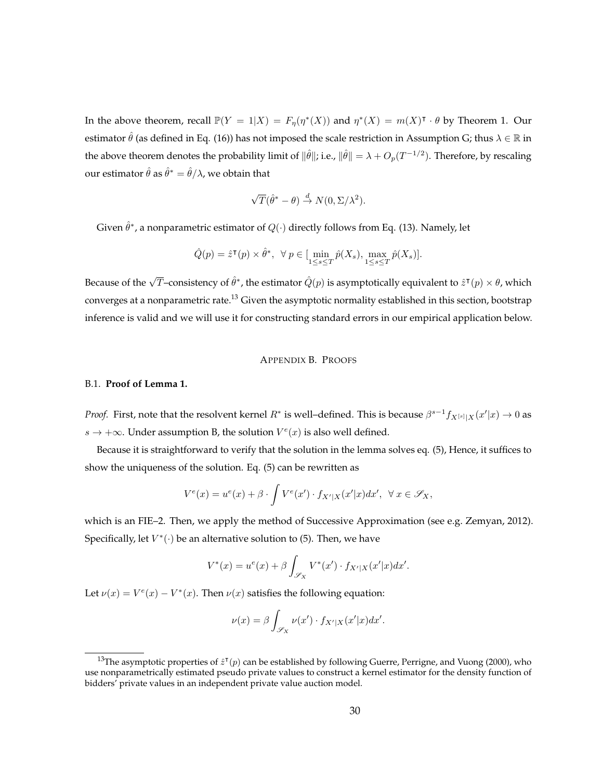In the above theorem, recall  $\mathbb{P}(Y = 1 | X) = F_{\eta}(\eta^*(X))$  and  $\eta^*(X) = m(X)^{\dagger} \cdot \theta$  by Theorem [1.](#page-13-0) Our estimator  $\hat{\theta}$  (as defined in Eq. [\(16\)](#page-14-2)) has not imposed the scale restriction in Assumption [G;](#page-14-0) thus  $\lambda \in \mathbb{R}$  in the above theorem denotes the probability limit of  $\|\hat{\theta}\|$ ; i.e.,  $\|\hat{\theta}\| = \lambda + O_p(T^{-1/2})$ . Therefore, by rescaling our estimator  $\hat{\theta}$  as  $\hat{\theta}^*=\hat{\theta}/\lambda$ , we obtain that

$$
\sqrt{T}(\hat{\theta}^* - \theta) \stackrel{d}{\rightarrow} N(0, \Sigma/\lambda^2).
$$

Given  $\hat{\theta}^*$ , a nonparametric estimator of  $Q(\cdot)$  directly follows from Eq. [\(13\)](#page-12-2). Namely, let

$$
\hat{Q}(p) = \hat{z}^{\mathsf{T}}(p) \times \hat{\theta}^*, \ \ \forall \ p \in [\min_{1 \leq s \leq T} \hat{p}(X_s), \max_{1 \leq s \leq T} \hat{p}(X_s)].
$$

Because of the  $\sqrt{T}-$ consistency of  $\hat{\theta}^*$ , the estimator  $\hat{Q}(p)$  is asymptotically equivalent to  $\hat{z}^\intercal(p)\times\theta$ , which converges at a nonparametric rate.<sup>13</sup> Given the asymptotic normality established in this section, bootstrap inference is valid and we will use it for constructing standard errors in our empirical application below.

#### APPENDIX B. PROOFS

#### B.1. **Proof of Lemma [1.](#page-9-3)**

*Proof.* First, note that the resolvent kernel  $R^*$  is well–defined. This is because  $\beta^{s-1}f_{X^{[s]}|X}(x'|x)\to 0$  as  $s \rightarrow +\infty$ . Under assumption [B,](#page-9-0) the solution  $V^e(x)$  is also well defined.

Because it is straightforward to verify that the solution in the lemma solves eq. [\(5\)](#page-8-1), Hence, it suffices to show the uniqueness of the solution. Eq. [\(5\)](#page-8-1) can be rewritten as

$$
V^{e}(x) = u^{e}(x) + \beta \cdot \int V^{e}(x') \cdot f_{X'|X}(x'|x) dx', \ \ \forall \ x \in \mathscr{S}_{X},
$$

which is an FIE–2. Then, we apply the method of Successive Approximation (see e.g. [Zemyan, 2012\)](#page-25-5). Specifically, let  $V^*(\cdot)$  be an alternative solution to [\(5\)](#page-8-1). Then, we have

$$
V^*(x) = u^e(x) + \beta \int_{\mathscr{S}_X} V^*(x') \cdot f_{X'|X}(x'|x) dx'.
$$

Let  $\nu(x) = V^e(x) - V^*(x)$ . Then  $\nu(x)$  satisfies the following equation:

$$
\nu(x) = \beta \int_{\mathscr{S}_X} \nu(x') \cdot f_{X'|X}(x'|x) dx'.
$$

<sup>&</sup>lt;sup>13</sup>The asymptotic properties of  $\hat{z}^{\intercal}(p)$  can be established by following [Guerre, Perrigne, and Vuong](#page-23-12) [\(2000\)](#page-23-12), who use nonparametrically estimated pseudo private values to construct a kernel estimator for the density function of bidders' private values in an independent private value auction model.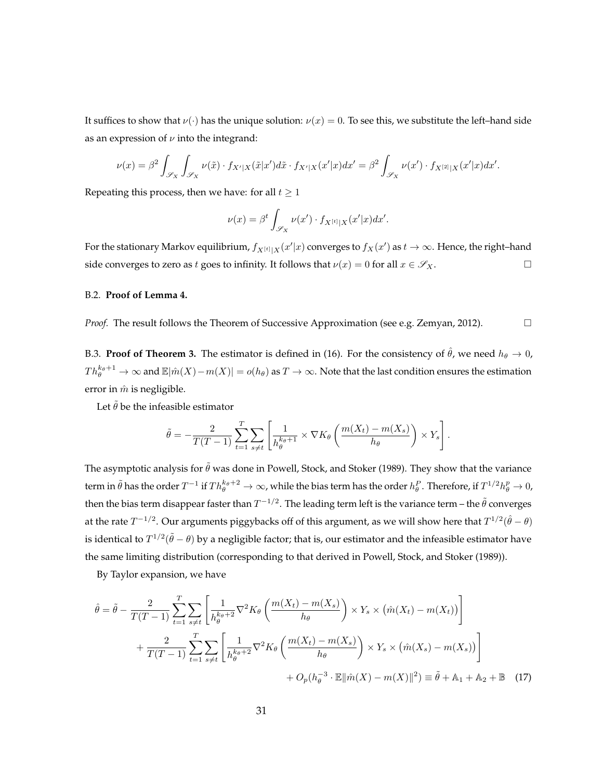It suffices to show that  $\nu(\cdot)$  has the unique solution:  $\nu(x) = 0$ . To see this, we substitute the left–hand side as an expression of  $\nu$  into the integrand:

$$
\nu(x) = \beta^2 \int_{\mathscr{S}_X} \int_{\mathscr{S}_X} \nu(\tilde{x}) \cdot f_{X'|X}(\tilde{x}|x') d\tilde{x} \cdot f_{X'|X}(x'|x) dx' = \beta^2 \int_{\mathscr{S}_X} \nu(x') \cdot f_{X^{[2]}|X}(x'|x) dx'.
$$

Repeating this process, then we have: for all  $t \geq 1$ 

$$
\nu(x) = \beta^t \int_{\mathscr{S}_X} \nu(x') \cdot f_{X^{[t]}|X}(x'|x) dx'.
$$

For the stationary Markov equilibrium,  $f_{X[t][X]}(x'|x)$  converges to  $f_X(x')$  as  $t\to\infty$ . Hence, the right–hand side converges to zero as t goes to infinity. It follows that  $\nu(x) = 0$  for all  $x \in \mathscr{S}_X$ .

#### B.2. **Proof of Lemma [4.](#page-12-3)**

*Proof.* The result follows the Theorem of Successive Approximation (see e.g. [Zemyan, 2012\)](#page-25-5). □

B.3. **Proof of Theorem [3.](#page-28-1)** The estimator is defined in [\(16\)](#page-14-2). For the consistency of  $\hat{\theta}$ , we need  $h_{\theta} \to 0$ ,  $Th_\theta^{k_\theta+1}\to\infty$  and  $\mathbb E|\hat m(X)-m(X)|=o(h_\theta)$  as  $T\to\infty.$  Note that the last condition ensures the estimation error in  $\hat{m}$  is negligible.

Let  $\tilde{\theta}$  be the infeasible estimator

$$
\tilde{\theta} = -\frac{2}{T(T-1)} \sum_{t=1}^{T} \sum_{s \neq t} \left[ \frac{1}{h_{\theta}^{k_{\theta}+1}} \times \nabla K_{\theta} \left( \frac{m(X_t) - m(X_s)}{h_{\theta}} \right) \times Y_s \right].
$$

The asymptotic analysis for  $\tilde{\theta}$  was done in [Powell, Stock, and Stoker](#page-25-4) [\(1989\)](#page-25-4). They show that the variance term in  $\tilde\theta$  has the order  $T^{-1}$  if  $Th^{k_\theta+2}_\theta\to\infty$ , while the bias term has the order  $h^P_\theta$  . Therefore, if  $T^{1/2}h^p_\theta\to 0$ , then the bias term disappear faster than  $T^{-1/2}.$  The leading term left is the variance term – the  $\tilde{\theta}$  converges at the rate  $T^{-1/2}.$  Our arguments piggybacks off of this argument, as we will show here that  $T^{1/2}(\hat{\theta}-\theta)$ is identical to  $T^{1/2}(\tilde{\theta}-\theta)$  by a negligible factor; that is, our estimator and the infeasible estimator have the same limiting distribution (corresponding to that derived in [Powell, Stock, and Stoker](#page-25-4) [\(1989\)](#page-25-4)).

By Taylor expansion, we have

$$
\hat{\theta} = \tilde{\theta} - \frac{2}{T(T-1)} \sum_{t=1}^{T} \sum_{s \neq t} \left[ \frac{1}{h_{\theta}^{k_{\theta}+2}} \nabla^2 K_{\theta} \left( \frac{m(X_t) - m(X_s)}{h_{\theta}} \right) \times Y_s \times \left( \hat{m}(X_t) - m(X_t) \right) \right] + \frac{2}{T(T-1)} \sum_{t=1}^{T} \sum_{s \neq t} \left[ \frac{1}{h_{\theta}^{k_{\theta}+2}} \nabla^2 K_{\theta} \left( \frac{m(X_t) - m(X_s)}{h_{\theta}} \right) \times Y_s \times \left( \hat{m}(X_s) - m(X_s) \right) \right] + O_p(h_{\theta}^{-3} \cdot \mathbb{E} || \hat{m}(X) - m(X) ||^2) \equiv \tilde{\theta} + \mathbb{A}_1 + \mathbb{A}_2 + \mathbb{B} \quad (17)
$$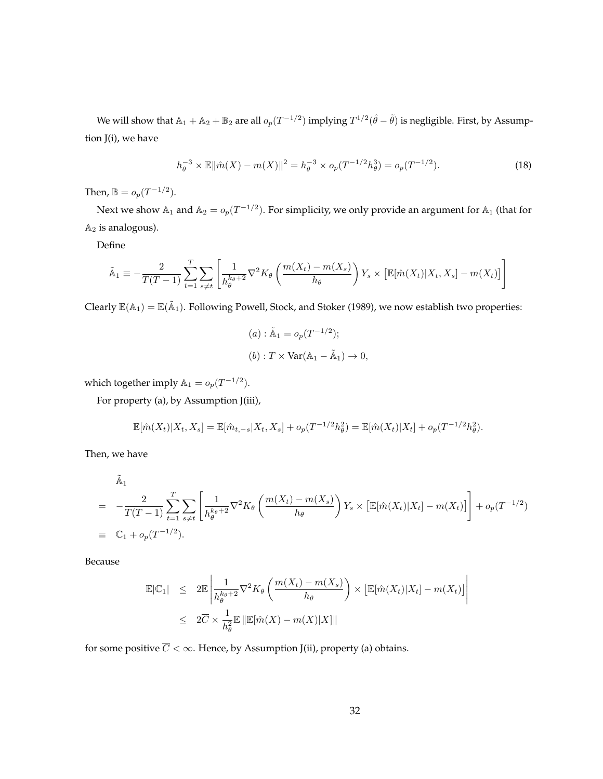We will show that  $\mathbb{A}_1+\mathbb{A}_2+\mathbb{B}_2$  are all  $o_p(T^{-1/2})$  implying  $T^{1/2}(\hat{\theta}-\tilde{\theta})$  is negligible. First, by Assumption [J\(](#page-28-0)i), we have

$$
h_{\theta}^{-3} \times \mathbb{E} \|\hat{m}(X) - m(X)\|^2 = h_{\theta}^{-3} \times o_p(T^{-1/2} h_{\theta}^3) = o_p(T^{-1/2}).
$$
\n(18)

Then,  $\mathbb{B} = o_p(T^{-1/2})$ .

Next we show  $\mathbb{A}_1$  and  $\mathbb{A}_2 = o_p(T^{-1/2})$ . For simplicity, we only provide an argument for  $\mathbb{A}_1$  (that for  $A_2$  is analogous).

Define

$$
\tilde{\mathbb{A}}_1 \equiv -\frac{2}{T(T-1)} \sum_{t=1}^T \sum_{s \neq t} \left[ \frac{1}{h_{\theta}^{k_{\theta}+2}} \nabla^2 K_{\theta} \left( \frac{m(X_t) - m(X_s)}{h_{\theta}} \right) Y_s \times \left[ \mathbb{E}[\hat{m}(X_t) | X_t, X_s] - m(X_t) \right] \right]
$$

Clearly  $\mathbb{E}(\mathbb{A}_1)=\mathbb{E}(\tilde{\mathbb{A}}_1)$ . Following [Powell, Stock, and Stoker](#page-25-4) [\(1989\)](#page-25-4), we now establish two properties:

(a) : 
$$
\tilde{A}_1 = o_p(T^{-1/2});
$$
  
\n(b) :  $T \times \text{Var}(A_1 - \tilde{A}_1) \to 0,$ 

which together imply  $\mathbb{A}_1 = o_p(T^{-1/2})$ .

For property (a), by Assumption [J\(](#page-28-0)iii),

$$
\mathbb{E}[\hat{m}(X_t)|X_t, X_s] = \mathbb{E}[\hat{m}_{t,-s}|X_t, X_s] + o_p(T^{-1/2}h_\theta^2) = \mathbb{E}[\hat{m}(X_t)|X_t] + o_p(T^{-1/2}h_\theta^2).
$$

Then, we have

$$
\tilde{A}_{1} = -\frac{2}{T(T-1)} \sum_{t=1}^{T} \sum_{s \neq t} \left[ \frac{1}{h_{\theta}^{k_{\theta}+2}} \nabla^{2} K_{\theta} \left( \frac{m(X_{t}) - m(X_{s})}{h_{\theta}} \right) Y_{s} \times \left[ \mathbb{E}[\hat{m}(X_{t}) | X_{t}] - m(X_{t}) \right] \right] + o_{p}(T^{-1/2})
$$
\n
$$
\equiv \mathbb{C}_{1} + o_{p}(T^{-1/2}).
$$

Because

$$
\mathbb{E}|\mathbb{C}_1| \leq 2\mathbb{E}\left|\frac{1}{h_{\theta}^{k_{\theta}+2}}\nabla^2 K_{\theta}\left(\frac{m(X_t) - m(X_s)}{h_{\theta}}\right) \times \left[\mathbb{E}[\hat{m}(X_t)|X_t] - m(X_t)\right]\right|
$$
  

$$
\leq 2\overline{C} \times \frac{1}{h_{\theta}^2} \mathbb{E}\left|\mathbb{E}[\hat{m}(X) - m(X)|X]\right|
$$

for some positive  $\overline{C} < \infty$ . Hence, by Assumption [J\(](#page-28-0)ii), property (a) obtains.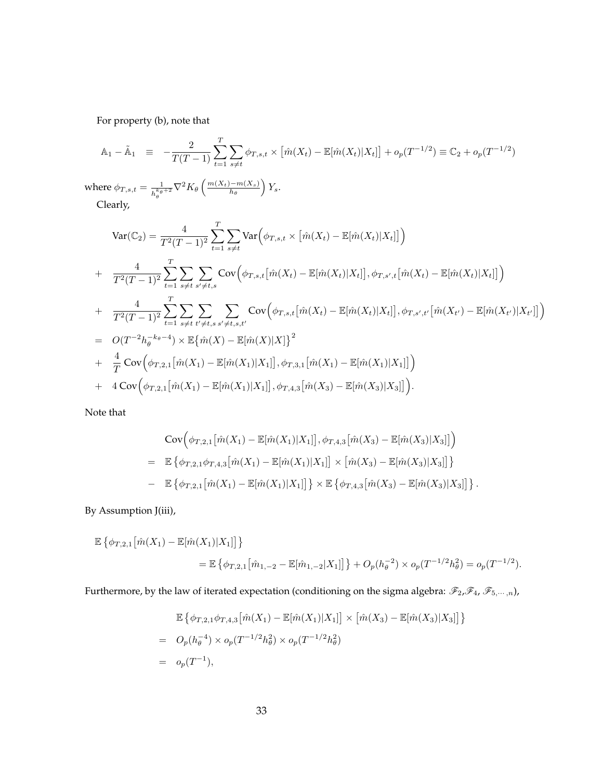For property (b), note that

$$
\mathbb{A}_1 - \tilde{\mathbb{A}}_1 \equiv -\frac{2}{T(T-1)} \sum_{t=1}^T \sum_{s \neq t} \phi_{T,s,t} \times \left[ \hat{m}(X_t) - \mathbb{E}[\hat{m}(X_t)|X_t] \right] + o_p(T^{-1/2}) \equiv \mathbb{C}_2 + o_p(T^{-1/2})
$$

where  $\phi_{T,s,t} = \frac{1}{t^k \theta}$  $\frac{1}{h_\theta^{k_\theta+2}} \nabla^2 K_\theta\left(\frac{m(X_t)-m(X_s)}{h_\theta}\right)$  $\frac{(-m(X_s)}{h_\theta}\Big)Y_s.$ Clearly,

$$
\begin{split}\n\text{Var}(\mathbb{C}_{2}) &= \frac{4}{T^{2}(T-1)^{2}} \sum_{t=1}^{T} \sum_{s \neq t} \text{Var}\Big(\phi_{T,s,t} \times \big[\hat{m}(X_{t}) - \mathbb{E}[\hat{m}(X_{t})|X_{t}]\big]\Big) \\
&+ \frac{4}{T^{2}(T-1)^{2}} \sum_{t=1}^{T} \sum_{s \neq t} \sum_{s' \neq t,s} \text{Cov}\Big(\phi_{T,s,t}\big[\hat{m}(X_{t}) - \mathbb{E}[\hat{m}(X_{t})|X_{t}]\big], \phi_{T,s',t}\big[\hat{m}(X_{t}) - \mathbb{E}[\hat{m}(X_{t})|X_{t}]\big]\Big) \\
&+ \frac{4}{T^{2}(T-1)^{2}} \sum_{t=1}^{T} \sum_{s \neq t} \sum_{t' \neq t,s} \sum_{s' \neq t,s,t'} \text{Cov}\Big(\phi_{T,s,t}\big[\hat{m}(X_{t}) - \mathbb{E}[\hat{m}(X_{t})|X_{t}]\big], \phi_{T,s',t'}\big[\hat{m}(X_{t'}) - \mathbb{E}[\hat{m}(X_{t'})|X_{t'}]\big]\Big) \\
&= O(T^{-2}h_{\theta}^{-k_{\theta}-4}) \times \mathbb{E}\big\{\hat{m}(X) - \mathbb{E}[\hat{m}(X)|X]\big\}^{2} \\
&+ \frac{4}{T} \text{Cov}\Big(\phi_{T,2,1}\big[\hat{m}(X_{1}) - \mathbb{E}[\hat{m}(X_{1})|X_{1}]\big], \phi_{T,3,1}\big[\hat{m}(X_{1}) - \mathbb{E}[\hat{m}(X_{1})|X_{1}]\big]\Big) \\
&+ 4 \text{Cov}\Big(\phi_{T,2,1}\big[\hat{m}(X_{1}) - \mathbb{E}[\hat{m}(X_{1})|X_{1}]\big], \phi_{T,4,3}\big[\hat{m}(X_{3}) - \mathbb{E}[\hat{m}(X_{3})|X_{3}]\big]\Big).\n\end{split}
$$

Note that

$$
Cov(\phi_{T,2,1}[\hat{m}(X_1) - \mathbb{E}[\hat{m}(X_1)|X_1]], \phi_{T,4,3}[\hat{m}(X_3) - \mathbb{E}[\hat{m}(X_3)|X_3]])
$$
  
= 
$$
\mathbb{E}\{\phi_{T,2,1}\phi_{T,4,3}[\hat{m}(X_1) - \mathbb{E}[\hat{m}(X_1)|X_1]] \times [\hat{m}(X_3) - \mathbb{E}[\hat{m}(X_3)|X_3]]\}
$$
  
- 
$$
\mathbb{E}\{\phi_{T,2,1}[\hat{m}(X_1) - \mathbb{E}[\hat{m}(X_1)|X_1]]\} \times \mathbb{E}\{\phi_{T,4,3}[\hat{m}(X_3) - \mathbb{E}[\hat{m}(X_3)|X_3]]\}.
$$

By Assumption [J\(](#page-28-0)iii),

$$
\mathbb{E}\left\{\phi_{T,2,1}\big[\hat{m}(X_1) - \mathbb{E}[\hat{m}(X_1)|X_1]\big]\right\}
$$
  
= 
$$
\mathbb{E}\left\{\phi_{T,2,1}\big[\hat{m}_{1,-2} - \mathbb{E}[\hat{m}_{1,-2}|X_1]\big]\right\} + O_p(h_\theta^{-2}) \times o_p(T^{-1/2}h_\theta^2) = o_p(T^{-1/2}).
$$

Furthermore, by the law of iterated expectation (conditioning on the sigma algebra:  $\mathscr{F}_2,\mathscr{F}_4,\mathscr{F}_{5,\cdots,n}$ ),

$$
\mathbb{E}\left\{\phi_{T,2,1}\phi_{T,4,3}\left[\hat{m}(X_1) - \mathbb{E}[\hat{m}(X_1)|X_1]\right] \times \left[\hat{m}(X_3) - \mathbb{E}[\hat{m}(X_3)|X_3]\right]\right\}
$$
  
=  $O_p(h_\theta^{-4}) \times o_p(T^{-1/2}h_\theta^2) \times o_p(T^{-1/2}h_\theta^2)$   
=  $o_p(T^{-1}),$